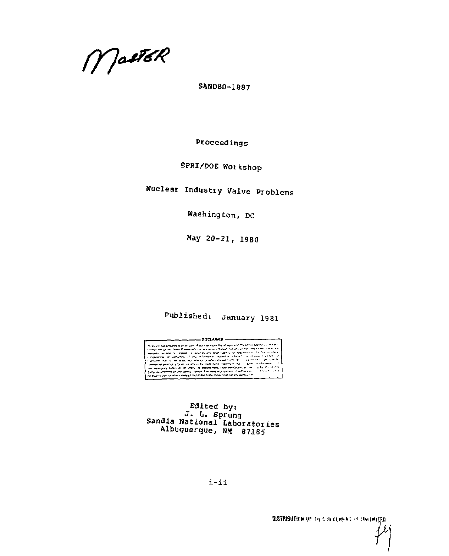*(jqojrs/Z* 

SAND80-1887

Proceedings

# BPRI/DOE Workshop

Nuclear Industry valve Problems

Washington, DC

May 20-21, 1980

Published: January 1981



Edited bys J. L. Sprung Sandia National Laboratories Albuquerque, NM 67185

 $i - i i$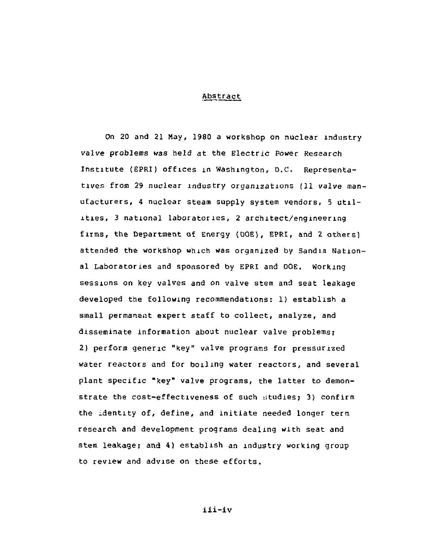# Abstract

On 20 and 21 May, 1980 a workshop on nuclear industry valve problems was held at the Electric Power Research Institute (EPRI) offices in Washington, D.C. Representatives from 29 nuclear industry organizations (11 valve manufacturers, 4 nuclear steam supply system vendors, 5 utilities, 3 national laboratories, 2 architect/engineering firms, the Department of Energy (DOE), EPRI, and 2 others) attended the workshop which was organized by Sandia National Laboratories and sponsored by EPRI and DOE. Working sessions on key valves and on valve stem and seat leakage developed the following recommendations: 1) establish a small permanent expert staff to collect, analyze, and disseminate information about nuclear valve problems; 2) perform generic "key" valve programs for pressurized water reactors and for boiling water reactors, and several plant specific "key" valve programs, the latter to demonstrate the cost-effectiveness of such studies; 3) confirm the identity of, define, and initiate needed longer term research and development programs dealing with seat and stem leakage; and 4) establish an industry working group to review and advise on these efforts.

iii-iv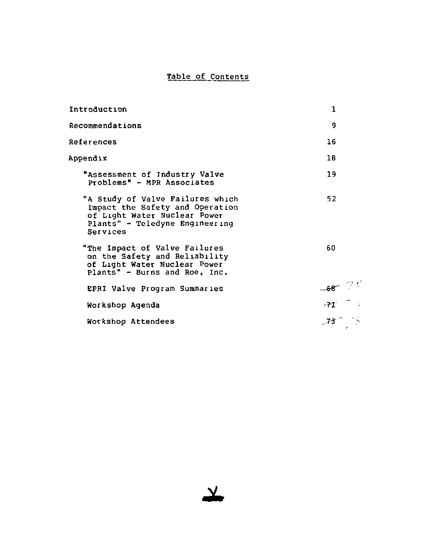# Table of Contents

| Introduction                                                                                                                                      | 1                       |
|---------------------------------------------------------------------------------------------------------------------------------------------------|-------------------------|
| Recommendations                                                                                                                                   | q                       |
| References                                                                                                                                        | 16                      |
| Appendix                                                                                                                                          | 18                      |
| "Assessment of Industry Valve<br>Problems" - MPR Associates                                                                                       | 19                      |
| "A Study of Valve Failures which<br>Impact the Safety and Operation<br>of Light Water Nuclear Power<br>Plants" - Teledyne Engineering<br>Services | 52                      |
| "The Impact of Valve Failures<br>on the Safety and Reliability<br>of Light Water Nuclear Power<br>Plants" - Burns and Roe, Inc.                   | 60                      |
| EPRI Valve Program Summaries                                                                                                                      | $-68$ $71$<br>$-71$     |
| Workshop Agenda                                                                                                                                   |                         |
| Workshop Attendees                                                                                                                                | $73^{\circ}$ $\sqrt{5}$ |
|                                                                                                                                                   |                         |

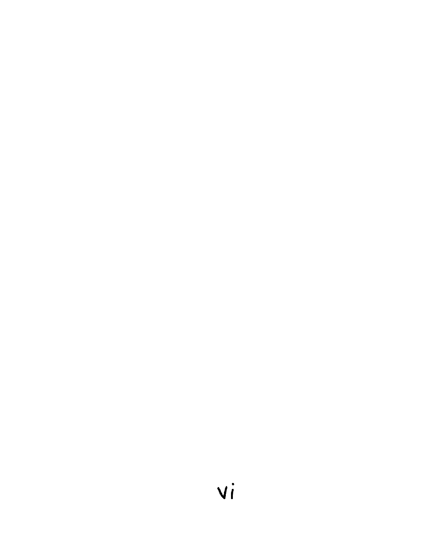# *Mi*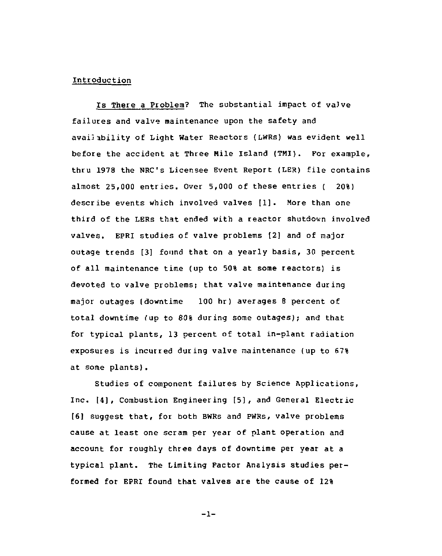# Introduction

Is There a Problem? The substantial impact of valve failures and valve maintenance upon the safety and availability of Light Water Reactors (LWRs) was evident well before the accident at Three Mile Island (TMI). For example, thru 1978 the NRC's Licensee Event Report (LER) file contains almost 25,000 entries. Over 5,000 of these entries ( 20%) describe events which involved valves [1]. More than one third of the LERs that ended with a reactor shutdown involved valves. EPRI studies of valve problems [2] and of major outage trends [3] found that on a yearly basis, 30 percent of all maintenance time (up to 50% at some reactors) is devoted to valve problems; that valve maintenance during major outages (downtime 100 hr) averages B percent of total downtime (up to 80% during some outages); and that for typical plants, 13 percent of total in-plant radiation exposures is incurred during valve maintenance {up to 67% at some plants).

Studies of component failures by Science Applications, Inc. |4], Combustion Engineering [5], and General Electric [6] suggest that, for both BWRs and PWRs, valve problems cause at least one scram per year of plant operation and account for roughly three days of downtime per year at a typical plant. The Limiting Factor Analysis studies performed for EPRI found that valves are the cause of 12%

-1-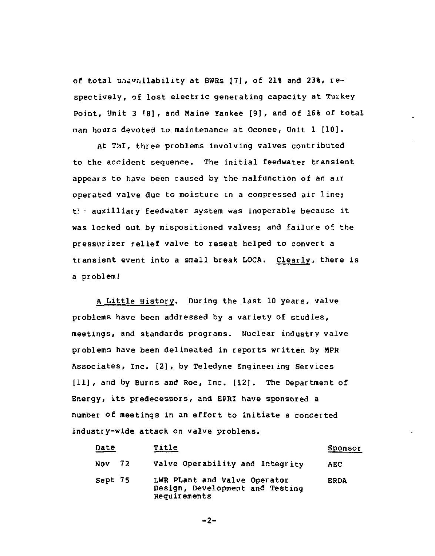of total unavnilability at BWRs [7], of 21% and 23%, respectively, of lost electric generating capacity at Tuzkey Point, Unit 3 *<8]*, and Maine Yankee [9], and of 16% of total man hours devoted to maintenance at Oconee, Unit 1 [10].

At TMI, three problems involving valves contributed to the accident sequence. The initial feedwater transient appears to have been caused by the malfunction of an air operated valve due to moisture in a compressed air line; t! - auxilliary feedwater system was inoperable because it was locked out by mispositioned valves; and failure of the pressurizer relief valve to reseat helped to convert a transient event into a small break LOCA. Clearly, there is a problem!

A Little History. During the last 10 years, valve problems have been addressed by a variety of studies, meetings, and standards programs. Nuclear industry valve problems have been delineated in reports written by MPR Associates, Inc. [2], by Teledyne Engineering Services [11], and by Burns and Roe, Inc. [12]. The Department of Energy, its predecessors, and EPRI have sponsored a number of meetings in an effort to initiate a concerted industry-wide attack on valve problems.

| <u>Date</u> |    | Title                                                                           | Sponsor |
|-------------|----|---------------------------------------------------------------------------------|---------|
| Nov         | 72 | Valve Operability and Integrity                                                 | AEC     |
| Sept 75     |    | LWR PLant and Valve Operator<br>Design, Development and Testing<br>Requirements | ERDA    |

 $-2-$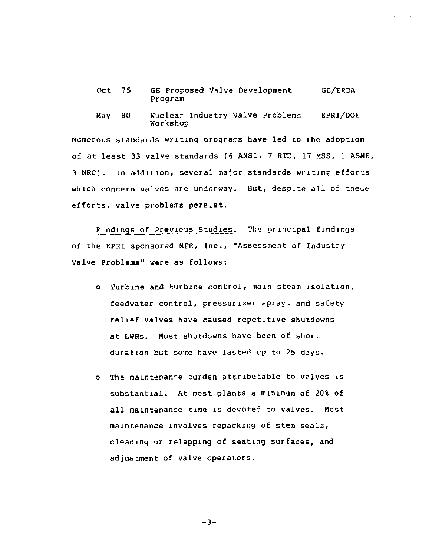| Oct 75 | GE Proposed Valve Development | GE/ERDA |
|--------|-------------------------------|---------|
|        | Program                       |         |

and the company of the company

May 80 Nuclear Industry Valve Problems EPRI/DOE Workshop

Numerous standards writing programs have led to the adoption of at least 33 valve standards {6 ANSI, 7 RTD, 17 MSS, 1 ASME, 3 NRC). In addition, several major standards writing efforts which concern valves are underway. But, despite all of these efforts, valve problems persist.

Findings of Previous Studies. The principal findings of the EPRI sponsored MPR, Inc., "Assessment of Industry Valve Problems" were as follows:

- 0 Turbine and turbine control, main steam isolation, feedwater control, pressurizer spray, and safety relief valves have caused repetitive shutdowns at LWRs. Most shutdowns have been of short duration but some have lasted up to 25 days.
- o The maintenance burden attributable to veives is substantial. At most plants a minimum of 20% of all maintenance time is devoted to valves. Most maintenance involves repacking of stem seals, cleaning or relapping of seating surfaces, and adjus cment of valve operators.

-3-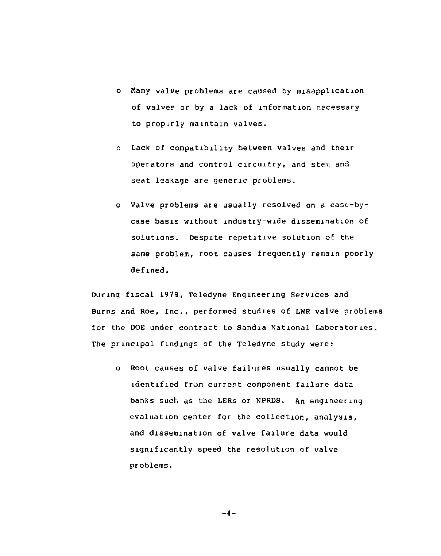- o Many valve problems are caused by misapplication of valve? or by a lack of information necessary to prop.-rly maintain valves.
- o Lack of compatibility between valves and their operators and control circuitry, and stem and seat leakage are generic problems.
- o Valve problems are usually resolved on a case-bycase basis without industry-wide dissemination of solutions. Despite repetitive solution of the same problem, root causes frequently remain poorly defined.

During fiscal 1979, Teledyne Engineering Services and Burns and Roe, inc., performed studies of LWR valve problems for the DOE under contract to Sandia National Laboratories. The principal findings of the Teledyne study were:

o Root causes of valve failures usually cannot be identified from current component failure data banks such as the LERs or NPRDS. An engineering evaluation center for the collection, analysis, and dissemination of valve failure data would significantly speed the resolution of valve problems.

-4-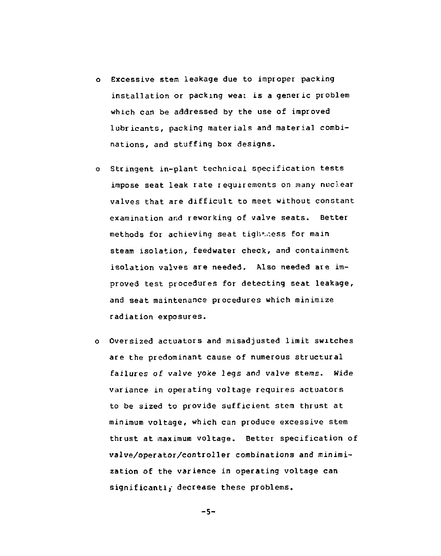- o Excessive stem leakage due to improper packing installation or packing weai is a generic problem which can be addressed by the use of improved lubricants, packing materials and material combinations, and stuffing box designs.
- o Stringent in-plant technical specification tests impose seat leak rate requirements on many nuclear valves that are difficult to meet without constant examination and reworking of valve seats. Better methods for achieving seat tightness for main steam isolation, feedwater check, and containment isolation valves are needed. Also needed are improved test procedures for detecting seat leakage, and seat maintenance procedures which minimize radiation exposures.
- o Oversized actuators and misadjusted limit switches are the predominant cause of numerous structural failures of valve yoke legs and valve stems. Wide variance in operating voltage requires actuators to be sized to provide sufficient stem thrust at minimum voltage, which can produce excessive stem thrust at maximum voltage. Better specification of valve/operator/controller combinations and minimization of the varience in operating voltage can significantly decrease these problems.

 $-5-$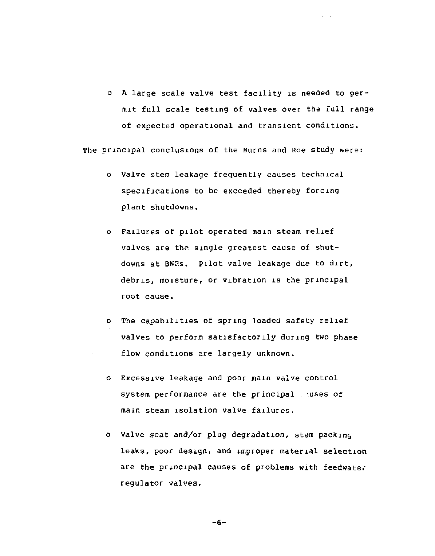o A large scale valve test facility is needed to permit full scale testing of valves over the full range of expected operational and transient conditions.

The principal conclusions of the Burns and Roe study were:

- o Valve stem leakage frequently causes technical specifications to be exceeded thereby forcing plant shutdowns.
- o Failures of pilot operated main steam relief valves are the single greatest cause of shutdowns at BKRs. Pilot valve leakage due to dirt, debris, moisture, or vibration is the principal root cause.
- o The capabilities of spring loaded safety relief valves to perform satisfactorily during two phase flow conditions are largely unknown.
- o Excessive leakage and poor main valve control system performance are the principal . uses of main steam isolation valve failures.
- o Valve seat and/or plug degradation, stem packing leaks, poor design, and improper material selection are the principal causes of problems with feedwate. regulator valves.

$$
-6-
$$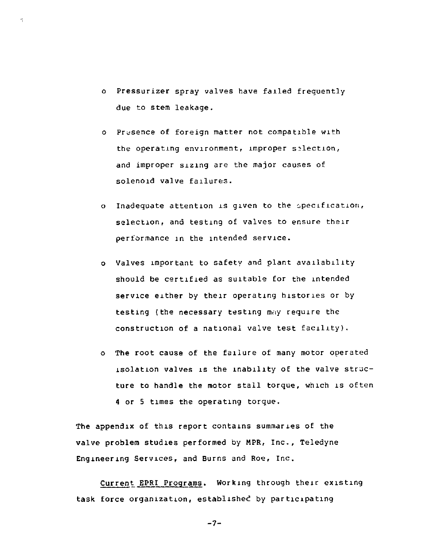- o Pressurizer spray valves have failed frequently due to stem leakage.
- o Presence of foreign matter not compatible with the operating environment, improper selection, and improper sizing are the major causes of solenoid valve failures.
- o Inadequate attention is given to the specification, selection, and testing of valves to ensure their performance in the intended service.
- o Valves important to safety and plant availability should be certified as suitable for the intended service either by their operating histories or by testing (the necessary testing may require the construction of a national valve test facility).
- o The root cause of the failure of many motor operated isolation valves is the inability of the valve structure to handle the motor stall torque, which is often 4 or 5 times the operating torque.

The appendix of this report contains summaries of the valve problem studies performed by MPR, Inc., Teledyne Engineering Services, and Burns and Roe, Inc.

Current EPRI Programs. Working through their existing task force organization, established by participating

-7-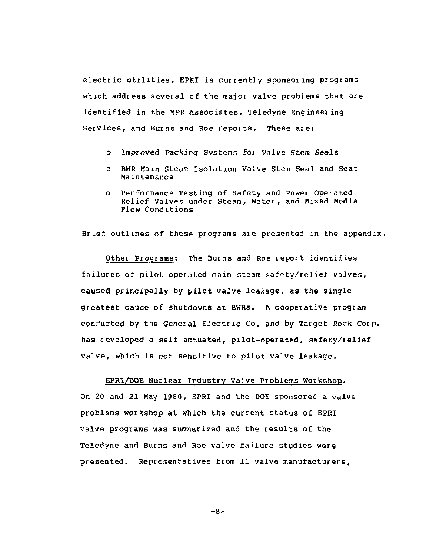electric utilities, EPRI is currently sponsoring programs which address several of the major valve problems that are identified in the HPR Associates, Teledyne Engineering Services, and Burns and Roe reports. These are:

- o Improved packing Systems for valve Stem Seals
- o BWR Main Steam Isolation Valve Stem Seal and seat Maintenance
- o Performance Testing of Safety and Power Operated Relief Valves under Steam, Water, and Mixed Media Flow Conditions

Brief outlines of these programs are presented in the appendix.

Other Programs: The Burns and Roe report identifies failures of pilot operated main steam safety/relief valves, caused principally by pilot valve leakage, as the single greatest cause of shutdowns at BWRs, A cooperative program conducted by the General Electric Co. and by Target Rock Corp. has developed a self-actuated, pilot-operated, safety/relief valve, which is not sensitive to pilot valve leakage.

EPRI/DOE Nuclear Industry Valve Problems Workshop.

On 20 and 21 May 1980, EPRI and the DOE sponsored a valve problems workshop at which the current status of EPRI valve programs was summarized and the results of the Teledyne and Burns and Roe valve failure studies were presented. Representatives from 11 valve manufacturers,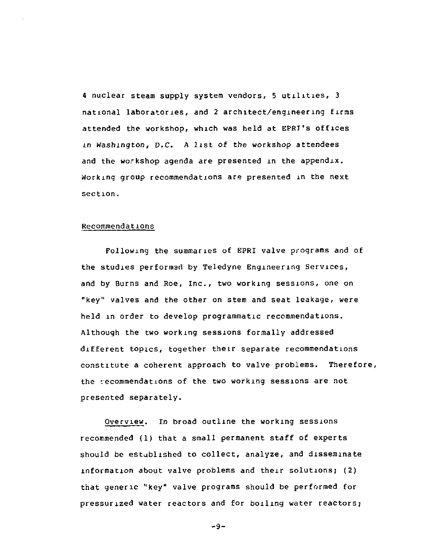4 nuclear steam supply system vendors, 5 utilities, 3 national laboratories, and 2 architect/engineering firms attended the workshop, which was held at EPRT\*s offices in Washington, D.C. A list of the workshop attendees and the workshop agenda are presented in the appendix. Working group recommendations are presented in the next section.

# Recommendations

Following the summaries of EPRI valve programs and of the studies performsd by Teledyne Engineering Services, and by Burns and Roe, Inc., two working sessions, one on "key" valves and the other on stem and seat leakage, were held in order to develop programmatic recommendations. Although the two working sessions formally addressed different topics, together their separate recommendations constitute a coherent approach to valve problems. Therefore, the vecommendations of the two working sessions are not presented separately.

Overview, In broad outline the working sessions recommended (1) that a small permanent staff of experts should be established to collect, analyze, and disseminate information about valve problems and their solutions; (2) that generic "key" valve programs should be performed for pressurized water reactors and for boiling water reactors;

-9-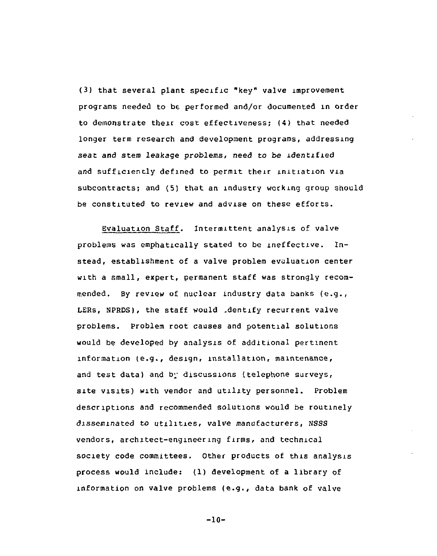(3) that several plant specific "key" valve improvement programs needed to be performed and/or documented in order to demonstrate their cost effectiveness; (4) that needed longer term research and development programs, addressing seat and stem leakage problems, need to be identified and sufficiently defined to permit their initiation via subcontracts; and (5) that an industry working group should be constituted to review and advise on these efforts.

Evaluation Staff. Intermittent analysis of valve problems was emphatically stated to be ineffective. Instead, establishment of a valve problem evaluation center with a small, expert, permanent staff was strongly recommended. By review of nuclear industry data banks (e.g., LERs, NPRDS), the staff would .dentify recurrent valve problems. Problem root causes and potential solutions would be developed by analysis of additional pertinent information (e.g., design, installation, maintenance, and test data) and by discussions (telephone surveys, site visits) with vendor and utility personnel. Problem descriptions and recommended solutions would be routinely disseminated to utilities, valve manufacturers, NSSS vendors, architect-engineering firms, and technical society code committees. Other products of this analysis process would include: (1) development of a library of information on valve problems (e.g., data bank of valve

-10-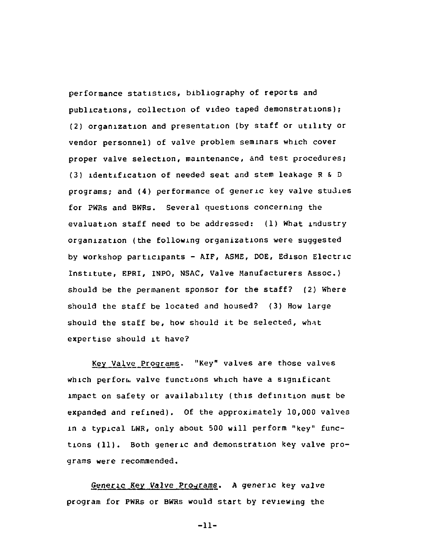performance statistics, bibliography of reports and publications, collection of video taped demonstrations); (2) organization and presentation (by staff or utility or vendor personnel) of valve problem seminars which cover proper valve selection, maintenance, and test procedures; (3) identification of needed seat and stem leakage R& D programs; and (4) performance of generic key valve studies for PWRs and BWRs. Several questions concerning the evaluation staff need to be addressed: (1) What industry organization {the following organizations were suggested by workshop participants - AIP, ASME, DOE, Edison Electric Institute, EPRI, INPO, NSAC, Valve Manufacturers Assoc.) should be the permanent sponsor for the staff? (2) Where should the staff be located and housed? (3) How large should the staff be, how should it be selected, what expertise should it have?

Key Valve Programs. "Key" valves are those valves which perform valve functions which have a significant impact on safety or availability (this definition must be expanded and refined). Of the approximately 10,000 valves in a typical LWR, only about 500 will perform "key" functions (11). Both generic and demonstration key valve programs were recommended.

Generic Key Valve Programs. A generic key valve program for PWRs or BWRs would start by reviewing the

-11-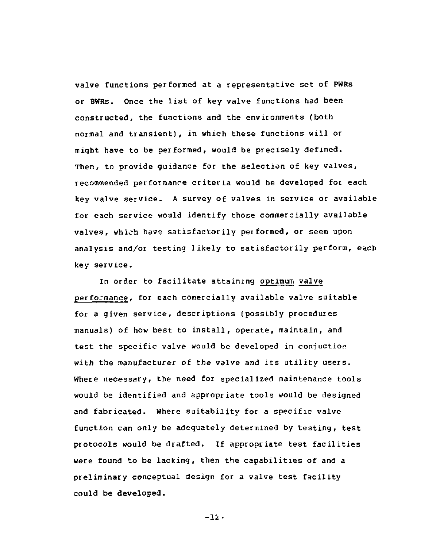valve functions performed at a representative set of PWRs or BWRs. Once the list of key valve functions had been constructed, the functions and the environments (both normal and transient), in which these functions will or might have to be performed, would be precisely defined. Then, to provide guidance for the selection of key valves, recommended performance criteria would be developed for each key valve service. A survey of valves in service or available for each service would identify those commercially available valves, which have satisfactorily performed, or seem upon analysis and/or testing likely to satisfactorily perform, each key service.

In order to facilitate attaining optimum valve performance, for each comercially available valve suitable for a given service, descriptions (possibly procedures manuals) of how best to install, operate, maintain, and test the specific valve would be developed in conjuction with the manufacturer of the valve and its utility users. Where necessary, the need for specialized maintenance tools would be identified and appropriate tools would be designed and fabricated. Where suitability for a specific valve function can only be adequately determined by testing, test protocols would be drafted. If appropriate test facilities were found to be lacking, then the capabilities of and a preliminary conceptual design for a valve test facility could be developed.

-li-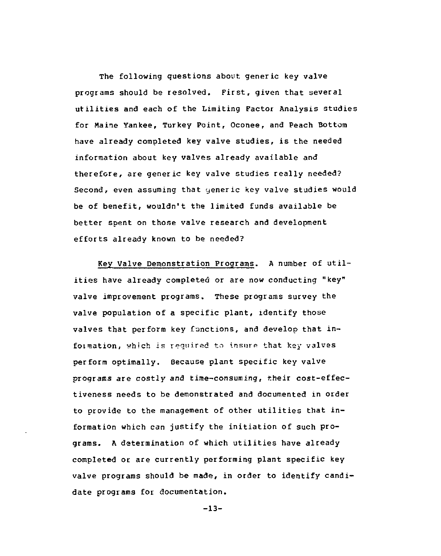The following questions about generic key valve programs should be resolved. First, given that several utilities and each of the Limiting factor Analysis studies for Maine Yankee, Turkey Point, Oconee, and Peach Bottom have already completed key valve studies, is the needed information about key valves already available and therefore, are generic key valve studies really needed? Second, even assuming that yeneric key valve studies would be of benefit, wouldn't the limited funds available be better spent on those valve research and development efforts already known to be needed?

Key Valve Demonstration Programs. A number of utilities have already completed or are now conducting "key" valve improvement programs. These programs survey the valve population of a specific plant, identify those valves that perform key functions, and develop that information, which is required to insure that key valves perform optimally. Because plant specific key valve programs are costly and time-consuming, their cost-effectiveness needs to be demonstrated and documented in order to provide to the management of other utilities that information which can justify the initiation of such programs. A determination of which utilities have already completed or are currently performing plant specific key valve programs should be made, in order to identify candidate programs for documentation.

-13-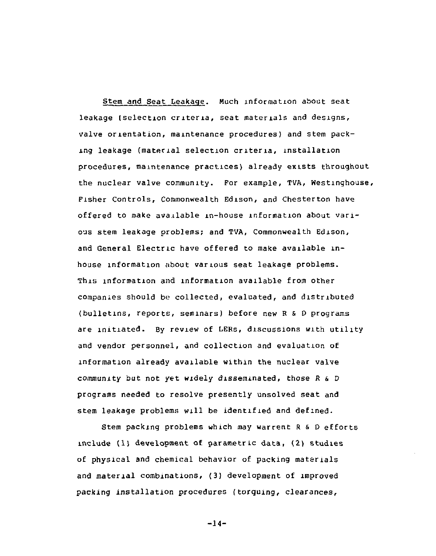.Stem and Seat Leakage. Much information about seat leakage (selection criteria, seat materials and designs, valve orientation, maintenance procedures) and stem packing leakage (matecial selection criteria, installation procedures, maintenance practices) already exists throughout the nuclear valve community. For example, TVA, Westinghouse, Fisher Controls, Commonwealth Edison, and Chesterton have offered to make available m-house information about various stem leakage problems; and TVA, Commonwealth Edison, and General Electric have offered to make available inhouse information about various seat leakage problems. This information and information available from other companies should be collected, evaluated, and distributed {bulletins, reports, seminars) before new R s D programs are initiated. By review of LERs, discussions with utility and vendor personnel, and collection and evaluation of information already available within the nuclear valve community but not yet widely disseminated, those R& D programs needed to resolve presently unsolved seat and stem leakage problems will be identified and defined.

Stem packing problems which may warrent R& D efforts  $include (1) development of parameteric data, (2) studies$ of physical and chemical behavior of packing materials and material combinations, (3) development of improved packing installation procedures (torquing, clearances,

-14-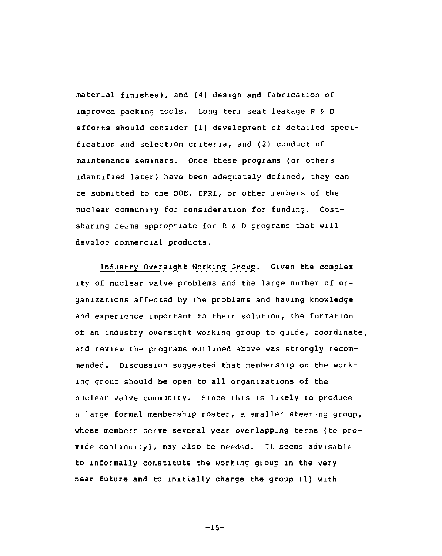material finishes), and (4) design and fabrication of improved packing tools. Long term seat leakage R& D efforts should consider (1) development of detailed specification and selection criteria, and (2) conduct of maintenance seminars. Once these programs (or others identified later) have been adequately defined, they can be submitted to the DOE, EPRI, or other members of the nuclear community for consideration for funding. Costsharing seems appropriate for R & D programs that will develop commercial products.

Industry Oversight Working Group. Given the complexity of nuclear valve problems and the large number of organizations affected by the problems and having knowledge and experience important to their solution, the formation of an industry oversight working group to guide, coordinate, and review the programs outlined above was strongly recommended. Discussion suggested that membership on the working group should be open to all organizations of the nuclear valve community. Since this is likely to produce *i\* large formal membership roster, a smaller steering group, whose members serve several year overlapping terms (to provide continuity), may also be needed. It seems advisable to informally constitute the working gioup in the very near future and to initially charge the group {1) with

 $-15-$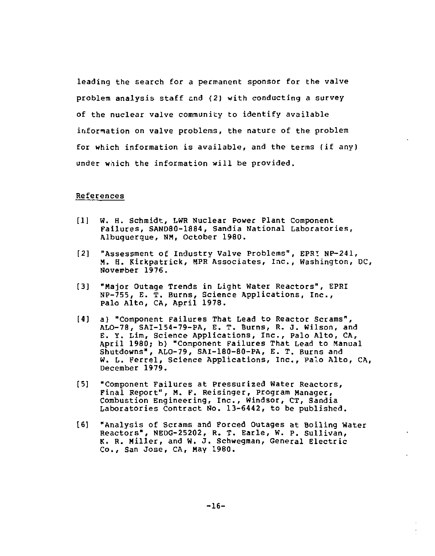leading the search for a permanent sponsor for the valve problem analysis staff and (2) with conducting a survey of the nuclear valve community to identify available information on valve problems, the nature of the problem for which information is available, and the terms (if any) under which the information will be provided.

# References

- [1] W. H. Schmidt, LWR Nuclear Power Plant Component Failures, SAND80-1884, Sandia National Laboratories, Albuquerque, NM, October 1980.
- [2] "Assessment of Industry Valve Problems", EPR! NP-241, M. H. Kirkpatrick, HPR Associates, Inc., Washington, DC, November 1976.
- [3] "Major Outage Trends in Light Water Reactors", EPRI NP-755, E. T. Burns, Science Applications, Inc., Palo Alto, CA, April 1978.
- [4] a) "Component Failures That Lead to Reactor Scrams", ALO-78, SAI-154-79-PA, E. T. Burns, R. J. Wilson, and E. Y. Lim, Science Applications, Inc., Palo Alto, CA, April 1980; b) "Component Failures That Lead to Manual Shutdowns", ALO-79, SAI-180-80-PA, E. T. Burns and W. L. Ferrel, Science Applications, Inc., Palo Alto, CA, December 1979.
- [51 "Component Failures at Pressurized Water Reactors, Final Report", M. F. Reisinger, Program Manager, Combustion Engineering, Inc., Windsor, CT, Sandia Laboratories Contract No. 13-6442, to be published.
- [6] "Analysis of Scrams and Forced Outages at Boiling Water Reactors", NEDG-25202, R. T. Earle, W. P. Sullivan, K. R. Miller, and W. J. Schwegman, General Electric Co., San Jose, CA, May 1980.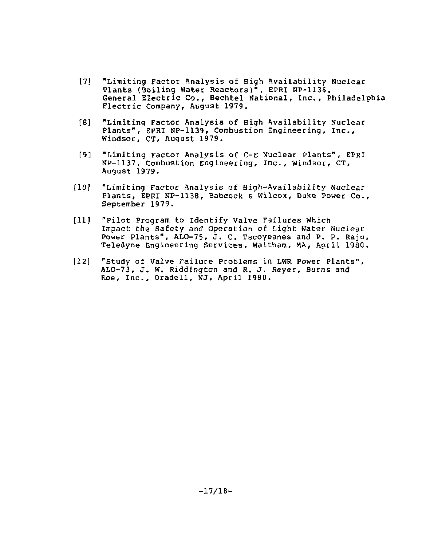- [7] "Limiting Factor Analysis of High Availability Nuclear Plants (Boiling Water Reactors)", EPRI NP-1136, General Electric Co., Bechtel National, Inc., Philadelphia Flectric Company, August 1979.
- [8] "Limiting Factor Analysis of High Availability Nuclear Plants", EPRI NP-1139, Combustion Engineering, Inc., Windsor, CT, August 1979.
- [9] "Limiting Factor Analysis of C-E Nuclear Plants", EPRI NP-1137, Combustion Engineering, Inc., Windsor, CT, August 1979.
- [10] "Limiting Factor Analysis of High-Availability Nuclear Plants, EPRI NP-1138, Babcock & Wilcox, Duke Power Co., September 1979.
- [11] "Pilot Program to Identify Valve Failures Which Impact the Safety and Operation of. Light Water Nuclear Power Plants", ALO-75, J. C. Tscoyeanes and P. P. Raju, Teledyne Engineering Services, Waltham, HA, April I960.
- [12] "Study of Valve failure Problems in LWR Power Plants", ALO-73, J. W. Riddington and R. J. Reyer, Burns and Roe, Inc., Oradell, NJ, April 1980.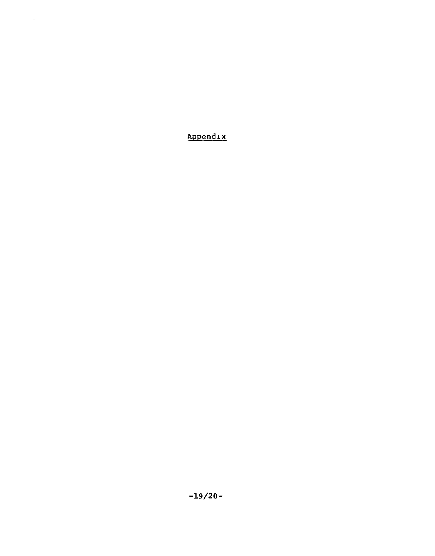Appendix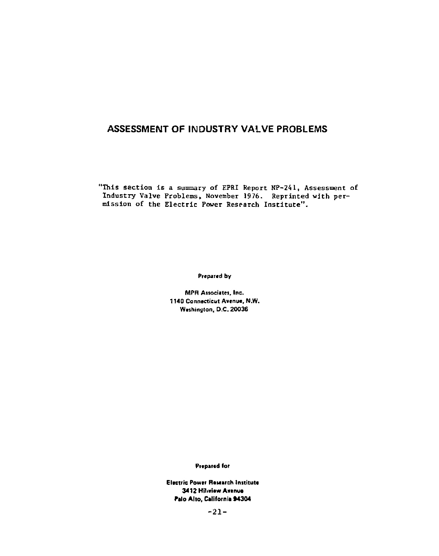# **ASSESSMENT OF INDUSTRY VALVE PROBLEMS**

"This section is a summary of EPRI Report NP-241, Assessment of Industry Valve Problems, November 1976. Reprinted with permission of the Electric Power Research Institute".

Prepared by

MPR Associates, Inc. 1140 Connecticut Avenue, N.W. Wethington, D.C. 20036

Prepared (or

Electric Power **Reteirch** Inititute 3412 Hitiview **Avenue Pelo** Alto, **Californli M304** 

**-21 -**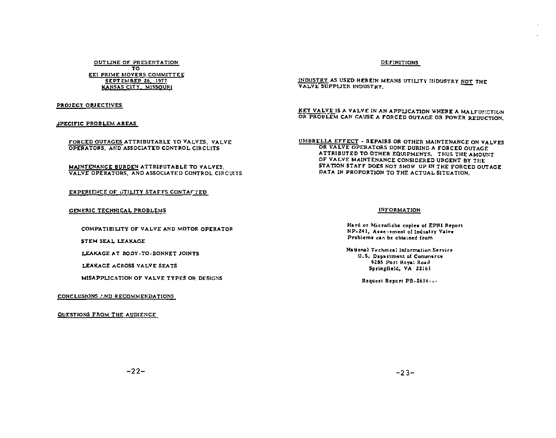OUTLINE OF PRESENTATION  $\overline{\tau \sigma}$ EEI PRIME MOVERS COMMITTEE SEPTEMBER 2b. 1977 KANSAS CITY. MISSOURI

### PROJECT OBJECTIVES

•SPECIFIC PROBLEM AREAS

FORCED OUTAGES ATTRIBUTABLE TO VALVES. VALVE OPERATORS. AND ASSOCIATED CONTROL CIRCUITS

MAINTENANCE BURDEN ATTRIBUTABLE TO VALVES. VALVE OPERATORS, AND ASSOCIATED CONTROL CIRCUITS

EXPERIENCE OF UTILITY STAFFS CONTACTED

GENERIC TECHNICAL PROBLEMS

COMPATIBILITY OF VALVE AND MOTOR OPERATOR

STEM 5EAL LEAKAGE

LEAKAGE AT BODY-TO-BONNET JOINTS

LEAKAGE ACROSS VALVE SEATS

MISAPPLICATION OF VALVE TYPES OR DESIGNS

CONCLUSIONS .'.NO RECOMMENDATIONS

QUESTIONS FROM THE AUDIENCE

### DEFINITIONS

INDUSTRY AS USED HEREIN MEANS UTILITY INDUSTRY NOT THE VALVE SUPPLIER INDUSTRY.

KEY VALVE IS A VALVE IN AN APPLICATION WHERE A MALFURICTION OR PROBLEM CAN CAUSE A FORCED OUTAGE OR POWER REDUCTION.

UMBRELLA EFFECT - REPAIRS OR OTHER MAINTENANCE ON VALVES OR VALVE OPERATORS DONE DURING A FORCED OUTAGE ATTRIBUTED TO OTHER EQUIPMENTS. THUS THE AMOUNT OF VALVE MAINTENANCE CONSIDERED URGENT BY THE STATION STAFF DOES NOT SHOW UP IN THE FORCED OUTAGE DATA IN PROPORTION TO THE ACTUAL SITUATION.

### INFORMATION

Hard or Microfiche copies of EPRI Report NP-241, Assessment of Industry Valve Problems can be obtained from

National Technical Information Service U.S. Department of Commerce 52B5 Port Royal Road Springfield, VA 22161

Request Report PB-2614'-.-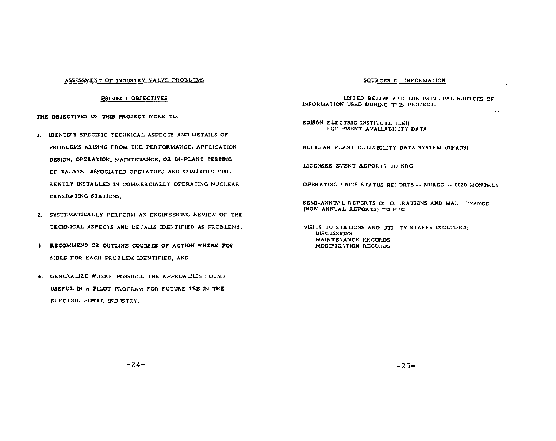### ASSESSMENT OF INDUSTRY VALVE PRODLEMS

### PROJECT OBJECTIVES

THE OBJECTIVES OF THIS PROJECT WERE TO:

- 1. IDENTIFY SPECIFIC TECHNICAL ASPECTS AND DETAILS OF PROBLEMS ARISING FROM THE PERFORMANCE, APPLICATION, DESIGN, OPERATION, MAINTENANCE, OR Iri-PLANT TESTING OF VALVES, ASSOCIATED OPERATORS AND CONTROLS CUR. RENTLY INSTALLED IN COMMERCIALLY OPERATING NUCLEAR GENERATING STATIONS,
- 2. SYSTEMATICALLY PERFORM AN ENGINEERING REVIEW OF THE TECHNICAL ASPECTS AND DETAILS IDENTIFIED AS PROBLEMS.
- ). RECOMMEND CR OUTLINE COURSES OF ACTION WHERE POS-SIBLE FOR EACH PROBLEM IDENTIFIED, AND
- 4. GENERALIZE WHERE POSSIBLE THE APPROACHES FOUND U5EFUL IN A PILOT PROCRAM FOR FUTURE USE IN THE ELECTRIC POWER INDUSTRY.

### 5QURCES C INFORMATION

 $\sim$  .

- LISTED BELOW A LE THE PRINCIPAL SOURCES OF INFORMATION USED DURJNG *Ttlb* PROJECT.
- EDISON ELECTRIC INSTITUTE (SE1) EQUIPMENT AVAILABLETY DATA

NUCLEAR PLANT RELIABILITY DATA SYSTEM {NPRDS)

LICENSEE EVENT REPORTS TO NRC

OPERATING UNITS STATUS REI DRTS -- NUREG -- 0020 MONTHLY

SEMI-ANNUAL REPORTS OF O. ;RATIONS AND MAI. . . \* YANCE (NOW ANNUAL REPORTS) TO N 'C

VISITS TO STATIONS AND UTI. TY STAFFS INCLUDED: DISCUSSIONS MAINTENANCE RECORDS MODIFICATION RECORDS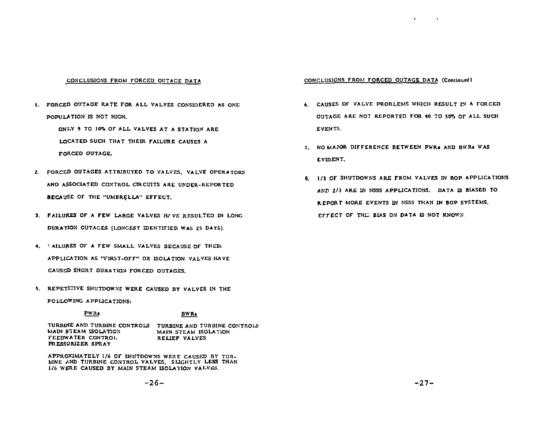### CONCLUSIONS FROM FORCED OUTAGE DATA

FORCED OUTAGE RATE FOR ALL VALVES CONSIDERED AS ONE POPULATION IS NOT HIGH.

> ONLY 3 TO 10% OF ALL VALVES AT A STATION ARE LOCATED SUCH THAT THEIR FAILURE CAUSES A FORCED OUTAGE.

- FORCED OUTAGES ATTRIBUTED TO VALVES, VALVE OPERATORS AND ASSOCIATED CONTROL CIRCUITS ARE UNDER-REPORTED BECAUSE OF THE "UMBRELLA" EFFECT.
- 3. FAILURES OF A FEW LARGE VALVES HAVE RESULTED IN LONG DURATION OUTAGES (LONGEST IDENTIFIED WAS 25 DAYS).
- 4. ' AILURES OF A FEW SMALL VALVES BECAUSE OF THEIR APPLICATION AS "FIRST-OFF" OR ISOLATION VALVES HAVE CAUSED SHORT DURATION FORCED OUTAGES.
- REPETITIVE SHUTDOWNS WERE CAUSED DY VALVES IN THE

FOLLOWING APPLICATIONS:

PWR« BWRt

MAIN STEAM ISOLATION MAIN STEAM ISOLATION<br>FEEDWATER CONTROL RELIEF VALVES FEEDWATER CONTROL RELIEF VALVES PRESSUR1ZER SPRAY

TURBINE AND TURBINE CONTROLS TURBINE AND TURBINE CONTROLS<br>MAIN STEAM ISOLATION MAIN STEAM ISOLATION

APPROXIMATELY 1/6 OF SHUTDOWNS WERE CAUSED BY TUR-BINE AND TURBINE CONTROL VALVES. SLIGHTLY LESS THAN 1/6 WERE CAUSED BY MAIN STEAM ISOLATION VALVES.

CONCLUSIONS FROM FORCED OUTAGE DATA (Continued)

6. CAUSES OF VALVE PROBLEMS WHICH RESULT rN A FORCED OUTAGE ARE NOT REPORTED FOR 40 TO 50% OF ALL SUCH EVENTS.

 $\mathbf{r}$  $\sim 100$ 

- 7. NO MAJOR DIFFERENCE BETWEEN PWRi AND BWR» WAS EVIDENT.
- 8. 1/3 OF SHUTDOWNS ARE FROM VALVES IN BOP APPLICATIONS AND 2/3 ARE IN NSSS APPLICATIONS. DATA IS BIASED TO REPORT MORE EVENTS IN NSSS THAN IN BOP SYSTEMS. EFFECT OF THL; BIAS ON DATA IS NOT KNOWN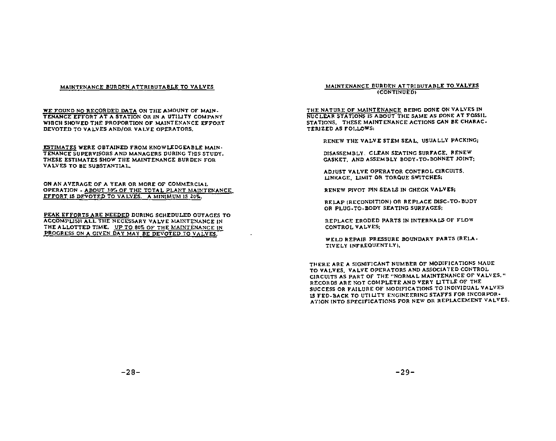### MAINTENANCE BURDEN ATTRIBUTABLE TO VALVES

WE FOUND NO RECORDED DATA ON THE AMOUNT OF MAIN-TENANCE EFFORT AT A STATION OR IN A UTILITY COMPANY WHICH SHOWED THE PROPORTION OF MAINTENANCE EFFORT DEVOTED TO VALVES AND/OR VALVE OPERATORS.

ESTIMATES WERE OBTAINED FROM KNOWLEDGEABLE MAIN-TENANCE SUPERVISORS AND MANAGERS DURING THIS STUDY. THESE ESTIMATES SHOW THE MAINTENANCE BURDEN FOR VALVES TO BE SUBSTANTIAL.

ON AN AVERAGE OF A YEAR OR MORE OF COMMERCIAL OPERATION - ABOUT 30T. OF THE TOTAL PLANT MAINTENANCE. EFFORT IS DEVOTED TO VALVES. A MINIMUM IS 20%.

PEAK EFFORTS ARE NEEDED DURING SCHEDULED OUTAGES TO ACCOMPLISH ALL THE NECESSARY VALVE MAINTENANCE IN THE ALLOTTED TIME. UP TO 80% OF THE MAINTENANCE IN PROGRESS ON A GIVEN DAY MAY BE DEVOTED TO VALVES.

### MAINTENANCE BURDEN ATTRIBUTABLE TO VALVES (CONTINUED)

THE NATURE OF MAINTENANCE BEING DONE ON VALVES IN NUCLEAR STATIONS IS ABOUT THE SAME AS DONE AT FOSSIL STATIONS. THESE MAINTENANCE ACTIONS CAN BE CHARAC-TERIZED AS FOLLOWS:

RENEW THE VALVE STEM SEAL. USUALLY PACKING;

DISASSEMBLY. CLEAN SEATING SURFACE. RENEW CASKET. AND ASSEMBLY BODY-TO-BONNET JOINT;

ADJUST VALVE OPERATOR CONTROL CIRCUITS. LINKAGE. LIMIT OR TORQUE SWITCHES;

RENEW PIVOT PIN SEALS IN CHECK VALVE5;

RELAP (RECONDITION) OR REPLACE DISC-TO-BODY OR PLUG-TO-BODY SEATING SURFACES;

REPLACE ERODED PARTS IN INTERNALS OF FLOW CONTROL VALVES;

WELD REPAIP PRESSURE BOUNDARY PARTS (RELA-TIVELY INFREQUENTLY),

THERE ARE A SIGNIFICANT NUMBER OF MODIFICATIONS MADE TO VALVES. VALVE OPERATORS AND ASSOCIATED CONTROL CIRCUITS AS PART OF THE "NORMAL MAINTENANCE OF VALVES. " RECORDS ARE NOT COMPLETE AND VERY LITTLE OF THE SUCCESS OR FAILURE OF MODIFICATIONS TO INDIVIDUAL VALVES IS FED-BACK TO UTILITY ENGINEERING STAFFS FOR INCORPOR-ATION INTO SPECIFICATIONS FOR NEW OR REPLACEMENT VALVES.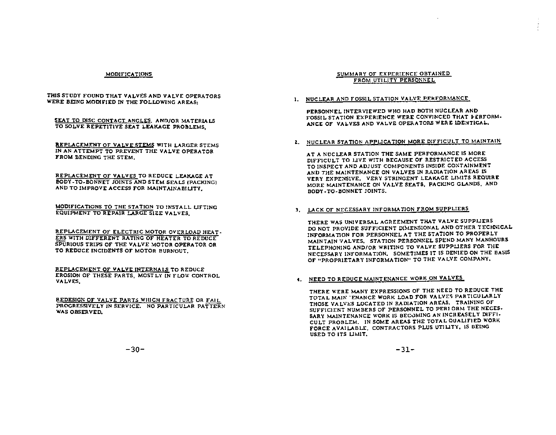#### MODIFICATIONS

#### THIS STUDY FOUND THAT VALVES AND VALVE OPERATORS WERE BEING MODIFIED IN THE FOLLOWING AREAS:

SEAT TO DISC CONTACT ANCLES, AND/OB MATERIALS TO SOLVE REPETITIVE SEAT LEAKAGE PROBLEMS,

REPLACEMENT OF VALVE STEMS WITH LARGER STEMS IN AN ATTEMPT TO PREVENT THE VALVE OPERATOR FROM BENDING THE STEM,

REPLACEMENT OF VALVES TO REDUCE LEAKAGE AT BODY-TO-BONNET JOINTS AND STEM SEALS (PACKING) AND TO IMPROVE ACCESS FOR MAINTAINABILITY,

MODIFICATIONS TO THE STATION TO INSTALL LIFTING EQUIPMENT TO REPAIR LARGE SIZE VALVES,

REPLACEMENT OF ELECTRIC MOTOR OVERLOAD HEAT-ERS WITH DIFFERENT RATING OF HEATER TO REDUCE SPURIOUS TRIPS OF THE VALVE MOTOR OPERATOR OR TO REDUCE INCIDENTS OF MOTOR BURNOUT.

REPLACEMENT OF VALVE INTERNALS TO REDUCE EROSION OF THESE PARTS, MOSTLY IN FLOW CONTROL VALVES.

REDESIGN OF VALVE PARTS WHICH FRACTURE OR FAIL PROGRESSIVELY IN SERVICE. NO PARTICULAR PATTERN WAS OBSERVED.

### SUMMARY OF EXPERIENCE OBTAINED FROM UTILITY PERSONNEL

### 1. NUCLEAR AND FOSSIL STATION VALVE PERFORMANCE

PERSONNEL INTERVIEWED WHO HAD BOTH NUCLEAR AND FOSSIL STATION EXPERIENCE WERE CONVINCED THAT FERFORM-ANCE OF VALVES AND VALVE OPERATORS WERE IDENTICAL.

### 2. NUCLEAR STATION APPLICATION MORE DIFFICULT TO MAINTAIN

AT A NUCLEAR STATION THE SAME PERFORMANCE IS MORE DIFFICULT TO LIVE WITH BECAUSE OF RESTRICTED ACCESS TO INSPECT AND ADJUST COMPONENTS INSIDE CONTAINMENT AND THE MAINTENANCE ON VALVES IN RADIATION AREAS IS VERY EXPENSIVE. VERY STRINGENT LEAKAGE LIMITS REQUIRE MORE MAINTENANCE ON VALVE SEATS, PACKING GLANDS. AND BODY-TO-BONNET JOINTS.

#### 3. LACK OF NECESSARY INFORMATION FROM SUPPLIERS

THERE WAS UNIVERSAL AGREEMENT THAT VALVE SUPPLIERS DO NOT PROVIDE SUFFICIENT DIMENSIONAL AND OTHER TECHNICAL INFORMATION FOR PERSONNEL AT THE STATION TO PROPER LY MAINTAIN VALVES. STATION PERSONNEL SPEND MANY MANHOURS TELEPHONING AND/OR WRITING TO VALVE SUPPLIERS FOR THE NECESSARY INFORMATION. SOMETIMES IT IS DENIED ON THE BASIS OF "PROPRIETARY INFORMATION" TO THE VALVE COMPANY.

### 4. NEED TO REDUCE MAINTENANCE WORK ON VALVES

THERE WERE MANY EXPRESSIONS OF THE NEED TO REDUCE THE TOTAL MAIN 'ENANCE WORK LOAD FOR VALVES PARTICULARLY THOSE VALVES LOCATED IN RADIATION AREAS. TRAINING OF SUFFICIENT NUMBERS OF PERSONNEL TO PERI ORM THE NECES-SARY MAINTENANCE WORK IS BECOMING AN 1NCHEASELY DIFFI-CULT PROBLEM. IN SOME AREAS THE TOTAL QUALIFIED WORK FORCE AVAILABLE. CONTRACTORS PLUS UTILITY. IS BEING USED TO ITS LIMIT.

**-31 -**

**-30 -**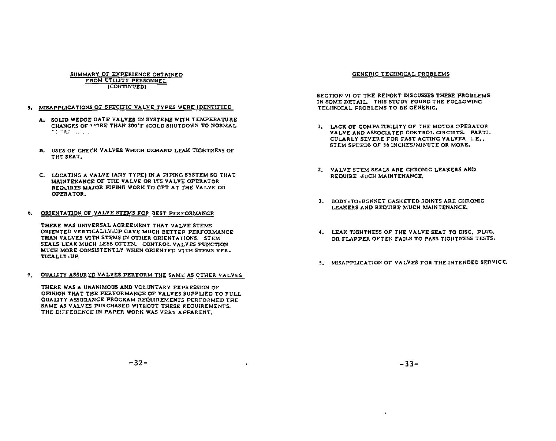SUMMARY OF EXPERIENCE OBTAINED FROM UTILITY PERSONNEL (CONTINUED)

### 5. MISAPPLICATIONS OF SPECIFIC VALVE TYPES WERE IDENTIFIED

- A. SOLID WEDGE GATE VALVES IN SYSTEMS WITH TEMPERATURE CHANGES OF **\*'"RE THAN 200'F (COLD SHUTDOWN TO NORMAL** -• *-n: .. .*
- B. USES OF CHECK VALVES WHICH DEMAND LEAK TIGHTNESS OF THE SEAT.
- C. LOCATING A VALVE (ANY TYPE) IN A PIPING SYSTEM SO THAT MAINTENANCE OF THE VALVE OR ITS VALVE OPERATOR REQUIRES MAJOR PIPING WORK TO GET AT THE VALVE OR OPERATOR.
- ORIENTATION OF VALVE 5TEMS FOP BEST PERFORMANCE

THERE WAS UNIVERSAL AGREEMENT THAT VALVE STEMS ORIENTED VERTICALLY-UP GAVE MUCH BETTER PERFORMANCE THAN VALVES WITH STEMS IN OTHER ORIENTATIONS. STEM SEALS LEAK MUCH LESS OFTEN. CONTROL VALVES FUNCTION MUCH MORE CONSISTENTLY WHEN ORIENTED WITH STEMS VER-TICALLY-UP.

7. OUALITY ASSURED VALVES PERFORM THE SAME AS OTHER VALVES

THERE WAS A UNANIMOUS AND VOLUNTARY EXPRESSION OF OPINION THAT THE PERFORMANCE OF VALVE5 SUPPLIED TO FULL QUALITY ASSURANCE PROGRAM REQUIREMENTS PERFORMED THE SAME AS VALVES PURCHASED WITHOUT THESE REQUIREMENTS. THE DIFFERENCE IN PAPER WORK WAS VERY APPARENT.

#### GENERIC TECHNICAL PROBLEMS

SECTION VI OF THE REPORT DISCUSSES THESE PROBLEMS IN SOME DETAIL. THIS STUDY FOUND THE FOLLOWING TECHNICAL PROBLEMS TO BE GENERIC.

- I. LACK OF COMPATIBILITY OF THE MOTOR OPERATOR. VALVE AND ASSOCIATED CONTROL CIRCUITS, PARTI-CULARLY SEVERE FOR FAST ACTING VALVES, I, E. , STEM SPEEDS OF 36 INCHES/MINUTE OR MORE.
- VALVE STEM SEALS ARE CHRONIC LEAKER5 AND REQUIRE AUCH MAINTENANCE.
- BODY-TO-BONNET GASKETED JOINTS ARE CHRONIC LEAKERS AND REQUIRE MUCH MAINTENANCE.
- LEAK TIGHTNESS OF THE VALVE SEAT TO DISC, PLUG. OR FLAPPER OFTEN FAILS TO PASS TIGHTNESS TESTS.
- 5. MISAPPLICATION OT VALVES FOR THE INTENDED SERVICE.

 $\ddot{\phantom{0}}$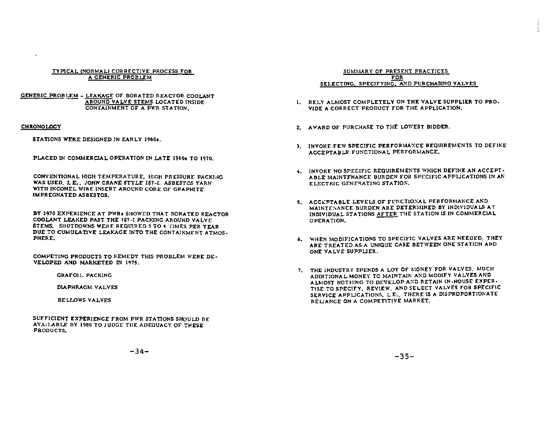#### TYPICAL (NORMAL) CORRECTIVE PROCESS FOR A GENERIC PROBLEM

#### GENERIC PROBLEM - LEAKAGE OP BORATED REACTOR COOLANT AROUND VALVE STEMS LOCATED INSIDE CONTAINMENT OF A PWR STATION.

#### CHRONOLOGY

 $\epsilon$ 

STATIONS WERE DESIGNED IN EARLY 1960s.

PLACED IN COMMERCIAL OPERATION IN LATE 1960s TO 1970.

CONVENTIONAL HIGH TEMPERATURE, HIGH PRESSURE PACKING WAS USED. I.E.. JOHN CRANE STYLE 187-1. ASBESTOS YARN WITH INCONEL WIRE INSERT AROUND CORE OF GRAPHITE IMPREGNATED ASBESTOS.

BY 1970 EXPERIENCE AT PWRs SHOWED THAT BORATED REACTOR COOLANT LEAKED PA5T THE 187-1 PACKING AROUND VALVE STEMS. SHUTDOWN5 WERE REQUIRED 3 TO 4 TIMES PER YEAR DUE TO CUMULATIVE LEAKAGE INTO THE CONTAINMENT ATMOS-PHERE.

COMPETING PRODUCTS TO REMEDY THIS PROBLEM WERE DE-VELOPED AND MARKETED IN 1975.

GRAFOIL PACKING

DIAPHRAGM VALVES

BELLOWS VALVES

SUFFICIENT EXPERIENCE FROM PWR STATIONS SHOULD BE AVAi I.ABLE BY 1980 TO JUDGE THE ADEOUACY OF THESE PRODUCTS,

SUMMARY OF PRESENT PRACTICES FOR SELECTING, SPECIFYING, AND PURCHASING VALVES

- RELY ALMOST COMPLETELY ON THE VALVE SUPPLIER TO PRO-VIDE A CORRECT PRODUCT FOR THE APPLICATION.
- AWARD OF PURCHASE TO THE LOWEST BIDDER.
- INVOKE FEW SPECIFIC PERFORMANCE REQUIREMENTS TO DEFINE ACCEPTABLE FUNCTIONAL PERFORMANCE,
- 4. INVOKE NO SPECIFIC REQUIREMENTS WHICH DEFINE AN ACCEPT-ABLE MAINTENANCE BURDEN FOR SPECIFIC APPLICATIONS IN AN ELECTRIC GENERATING STATION.
- ACCEPTABLE LEVELS OF FUNCTIONAL PERFORMANCE AND MAINTENANCE BURDEN ARE DETERMINED BY INDIVIDUALS AT INDIVIDUAL STATIONS AFTER THE STATION IS IN COMMERCIAL OPERATION.
- WHEN MODIFICATIONS TO SPECIFIC VALVES ARE NEEDED, THEY ARE TREATED AS A UNIQUE CASE BETWEEN ONE STATION AND ONE VALVE SUPPLIER.
- 7. THE INDUSTRY SPENDS A LOT OF MONEY FOR VALVES, MUCH ADDITIONAL MONEY TO MAINTAIN AND MODIFY VALVES AND ALMOST NOTHING TO DEVELOP AND RETAIN IN-HOUSE EXPER-TISE TO SPECIFY. REVIEW. AND SELECT VALVES FOB SPECIFIC SERVICE APPLICATIONS. I.E., THERE IS A DISPROPORTIONATE RELIANCE ON A COMPETITIVE MARKET.

**-34 -**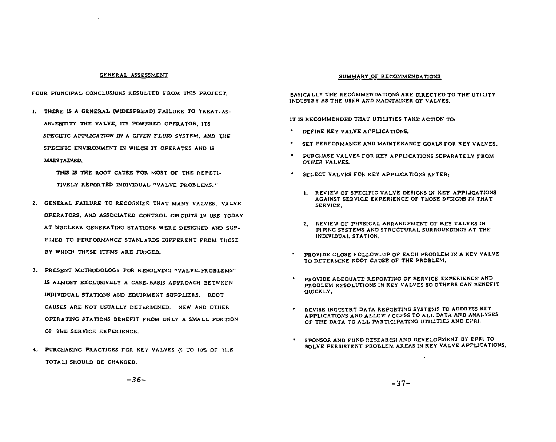### GENERAL ASSESSMENT

FOUR PRINCIPAL CONCLUSIONS RESULTED FROM THIS PROJECT.

1. THERE IS A GENERAL (WIDESPREAD) FAILURE TO TREAT-AS-AN-ENTITY THE VALVE, ITS POWERED OPERATOR. ITS *SPECIFIC APPLICATION* IN *A* GIVEN FLUID SYSTEM, *AND* THE SPECIFIC ENVIRONMENT IN WHICH IT OPERATES AND IS MAINTAINED.

> THIS IS THE ROOT CAUSE FOR MOST OF THE REPETI-TIVELY REPORTED INDIVIDUAL "VALVE PROBLEMS."

- 2. GENERAL FAILURE TO RECOGNIZE THAT MANY VALVES, VALVE OPERATORS, AND ASSOCIATED CONTROL CIRCUITS IN USE TODAY AT NUCLEAR GENERATING STATIONS WERE DESIGNED AND SUP-PLIED TO PERFORMANCE STANDARDS DIFFERENT FROM THOSE BY WHICH THESE ITEMS ARE JUDGED.
- *3. PRESENT METHODOLOGY FOR* RESOLVING *"VALVE-PROBLEMS"*  IS ALMOST EXCLUSIVELY A CASE-BASIS APPROACH BETWEEN INDIVIDUAL STATIONS AND EQUIPMENT SUPPLIERS. ROOT CAUSES ARE NOT USUALLY DETERMINED. NEW AND OTHER OPERATING STATIONS BENEFIT FROM ONLY A SMALL PORTION OF THE SERVICE EXPERIENCE.
- *4.* PURCHASING PRACTICES FOR KEY VALVES (S TO 10% OF THE TOTAL) SHOULD BE CHANGED.

#### SUMMARY OF RECOMMENDATIONS

BASICALLY THE RECOMMENDATIONS ARE DIRECTED TO THE UTILITY INDUSTRY AS THE USER AND MAINTAINER OF VALVES.

IT IS RECOMMENDED THAT UTILITIES TAKE ACTION TOi

- \* DEFINE KEY VALVE APPLICATIONS.
- SET PERFORMANCE AND MAINTENANCE GOALS FOB KEY VALVES.
- PURCHASE VALVES FOR KEY APPLICATIONS SEPARATELY FROM OTHER VALVES.
- SELECT VALVES FOR KEY APPLICATIONS AFTER;
	- 1. REVIEW OF SPECIFIC VALVE DESIGNS LN KEY APPUCATIONS AGAINST SERVICE EXPERIENCE OF THOSE DFSIGNS IN THAT SERVICE.
	- Z. REVIEW OF PHYSICAL ARRANGEMENT OF KEY VALVES IN PIPING SYSTEMS AND STRUCTURAL SURROUNDINGS AT THE INDIVIDUAL STATION.
- PROVIDE CLOSE FOLLOW-UP OF EACH PROBLEM IN A KEY VALVE TO DETERMINE ROOT CAUSE OF THE PROBLEM.
- PROVIDE ADEQUATE REPORTING OF SERVICE EXPERIENCE AND PROBLEM RESOLUTIONS IN KEY VALVES SO OTHERS CAN BENEFIT QUICKLY.
- REVISE INDUSTRY DATA REPORTING SYSTEMS TO ADDRESS KEY APPLICATIONS AND ALLOW ACCESS TO ALL DATA AND ANALYSES OF THE DATA TO ALL PARTICIPATING UTILITIES AND EPRI.
- SPONSOR AND FUND RESEARCH AND DEVELOPMENT BY EPRI TO SOLVE PERSISTENT PROBLEM AREAS IN KEY VALVE APPLICATIONS.

 $\ddot{\phantom{1}}$ 

*-36-*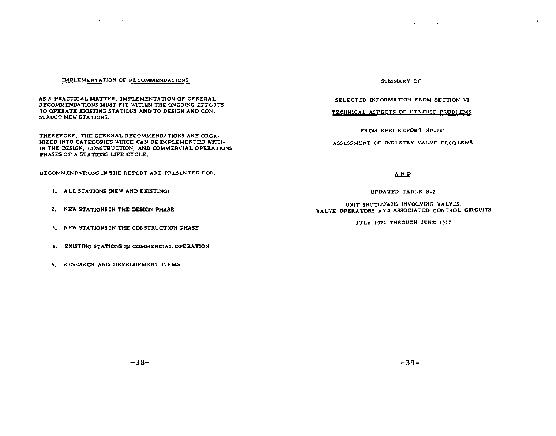#### IMPLEMENTATION OF RECOMMENDATIONS

 $\sim$ **Contract** 

AS A PRACTICAL MATTER, IMPLEMENTATION OF GENERAL RECOMMENDATIONS MUST FIT WITHIN THE ONGOING EFFORTS TO OPERATE EXISTING STATIONS AND TO DESIGN AND CON-STRUCT NEW STATIONS.

THEREFORE. THE GENERAL RECOMMENDATIONS ARE ORGA-NIZED INTO CATEGORIES WHICH CAN BE IMPLEMENTED WITH-IN THE DESIGN, CONSTRUCTION, AND COMMERCIAL OPERATIONS PHASES OF A STATIONS LIFE CYCLE.

RECOMMENDATIONS IN THE REPORT ARE PRESENTED FOR:

- 1. ALL STATIONS (NEW AND EXISTING)
- Z. NEW STATIONS IN THE DESIGN PHASE
- 3. NEW STATIONS IN THE CONSTRUCTION PHASE
- 4. EXISTING STATIONS IN COMMERCIAL OPERATION
- 5. RESEARCH AND DEVELOPMENT ITEMS

 $\sim$  $\sim$ 

### SELECTED INFORMATION FROM SECTION VI

### TECHNICAL ASPECTS OF GENERIC PROBLEMS

FROM EPRI REPORT NP-Z41

ASSESSMENT OF INDUSTRY VALVE PROBLEMS

**AND** 

UPDATED TABLE B-Z

UNIT SHUTDOWNS INVOLVING VALVES. VALVE OPERATORS AND ASSOCIATED CONTROL CIRCUITS

JULY 1974 THROUCH JUNE 1977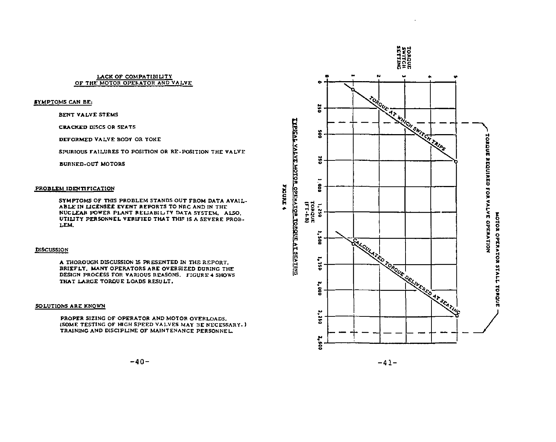# **LACK OF COMPATIBILITY OF THE MOTOR OPERATOR AND VALVE**

### **SYMPTOMS CAN BE;**

### **BENT VALVE STEMS**

### **CRACKED DISCS OR SEATS**

### **DEFORMED VALVE BODY OR YOKE**

**SPURIOUS FAILURES TO POSITION OR RE-POSITION THE VALVE** 

**BURNED-OUT MOTORS** 

### **PROBLEM IDENTIFICATION**

**SYMPTOMS OF THIS PROBLEM STANDS OUT FROM DATA AVAIL-ABL E IN LICENSEE EVENT REPORTS TO NRC AND IN THE NUCLEAR POWER PLANT RELIABIur Y DATA SYSTEM. ALSO.**  UTILITY PERSONNEL VERIFIED THAT THIS IS A SEVERE PROB-**LEM.** 

### **DISCUSSION**

**A THOROUGH DISCUSSION IS PRESENTED IN THE REPORT. BRIEFLY. MANY OPERATORS ARE OVERSIZED DURING THE DESICN PROCESS FOR VARIOUS REASONS. FIGURE 4 SHOWS THAT LARGE TORQUE LOADS RESULT,** 

### **SOLUTIONS ARE KNOWN**

**PROPER SIZING OF OPERATOR AND MOTOR OVERLOADS. (SOME TESTING OF HIGH SPEE D VALVES MAY 3 E NECESSARY. ) TRAINING AND DISCIPLINE OF MAINTENANCE PERSONNEL.** 

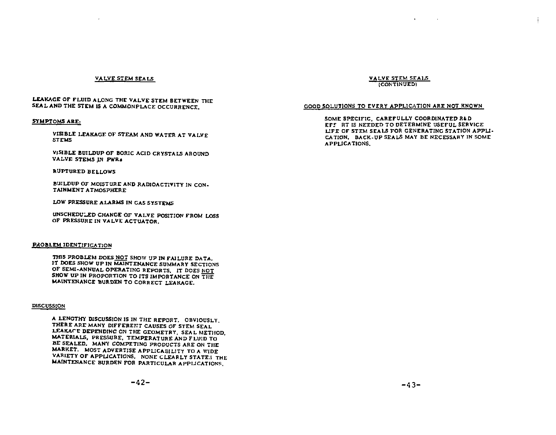### VALVE STEM SEALS

### LEAKAGE OF FLUID ALONG THE VALVE STEM BETWEEN THE SEAL AND THE STEM 15 A COMMONPLACE OCCURRENCE.

### SYMPTOMS ARE:

VISIBLE LEAKAGE OF STEAM AND WATER AT VALVE **STEMS** 

VISIBLE BUILDUP OF BORIC ACID CRYSTALS AROUND VALVE STEMS IN PWR.

RUPTURED BELLOWS

BUILDUP OF MOI5TURE AND RADIOACTIVITY IN CON-TAINMENT ATMOSPHERE

LOW PRESSURE ALARMS IN CAS SYSTEMS

UNSCHEDULED CHANGE OF VALVE POSITION FROM LOSS OF PRESSURE IN VALVE ACTUATOR,

### PROBLEM IDENTIFICATION

THIS PROBLEM DOES NOT SHOW UP IN FAILURE DATA. IT DOES SHOW UP IN MAINTENANCE SUMMARY SECTIONS OF SEMI-ANNUAL OPERATING REPORTS. IT DOES NOT SHOW UP IN PROPORTION TO ITS IMPORTANCE ON THE MAINTENANCE BURDEN TO CORRECT LEAKAGE.

### DISCUSSION

A LENGTHY DISCUSSION IS IN THE REPORT, OBVIOUSLY THERE ARE MANY DIFFERENT CAUSES OF STEM SEAL LEAKACE DEPENDING ON THE GEOMETRY. SEAL METHOD MATERIALS, PRESSURE, TEMPERATURE AND FLUID TO BE SEALED. MANY COMPETING PRODUCTS ARE ON THE MARKET. MOST ADVERTISE APPLICABILITY TO A WIDE VARIETY OF APPLICATIONS. NONE CLEARLY STATE: THE MAINTENANCE BURDEN FOR PARTICULAR APPLICATIONS

#### VALVE 5TEM SEALS (CONTINUED)

### GOOD SOLUTIONS TO EVERY APPLICATION ARE NOT KNOWN

SOME SPECIFIC, CAREFULLY COORDINATED R&D EFF RT IS NEEDED TO DETERMINE USEFUL SERVICE LIFE OF STEM SEALS FOR GENERATING STATION APPLI-CATION, BACK-UP SEALS MAY BE NECESSARY IN SOME APPLICATIONS.

 $\ddot{\phantom{a}}$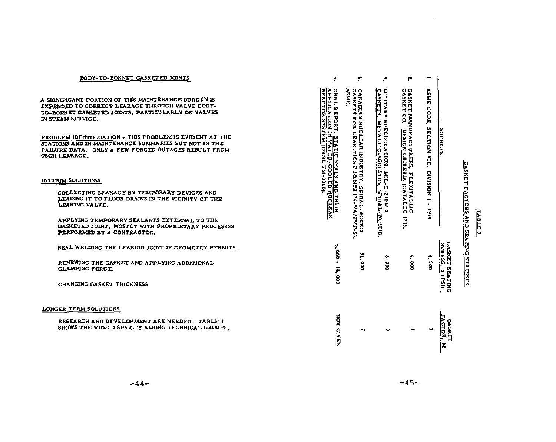### BODY-TO-BONNET GASKETED JOINTS

A SIGNIFICANT PORTION OF THE MAINTENANCE BURDEN IS EXPENDED TO CORRECT LEAKAGE THROUGH VALVE BODY-TO-BONNET GASKETED JOINTS, PARTICULARLY ON VALVES IN STEAM SERVICE.

PROBLEM IDENTIFICATION . THIS PROBLEM IS EVIDENT AT THE STATIONS AND IN MAINTENANCE SUMMARIES BUT NOT IN THE FAILURE DATA, ONLV A FEW FORCED OUTAGES RESULT FROM SUCH LEAKAGE.

### INTERIM SOLUTIONS

COLLECTING LEAKAGE BY TEMPORARY DEVICES AND LEADING IT TO FLOOR DRAINS IN THE VICINITY OF THE LEAKING VALVE.

APPLYING TEMPORARY SEALANTS EXTERNAL TO THE GASKETED JOINT, MOSTLY WITH PROPRIETARY PROCESSES PERFORMED BY A CONTRACTOR.

SEAL WELDING THE LEAKING JOINT IF GEOMETRY PERMITS.

RENEWING THE GASKET AND APPLYING ADDITIONAL CLAMPING FORCE.

CHANGING GASKET THICKNESS

### LONGER TERM SOLUTIONS

RESEARCH AND DEVELOPMENT ARE NEEDED. TABLE 3 SHOWS THE WIDE DISPARITY AMONG TECHNICAL GROUPS.

|   | <b>SOURCES</b>                                                                                                   | <b>GASKET SEATRUP</b><br>STRESS, Y (PS1) |
|---|------------------------------------------------------------------------------------------------------------------|------------------------------------------|
|   | I. ASME CODE, SECTION VIII, DIVISION 1 - 1974                                                                    | t, so                                    |
| ľ | GASKET MANUFACTURERS, FLEXITALLIC<br>GASKET CO. DESIGN CRITERIA (CATALOG 171).                                   | 000°                                     |
|   | 3. MILITARY SPECIFICATION, MIL-G-21032D<br><b>Internet Contract Contract Contract Contract Contract Contract</b> | e, ooo                                   |

 $-45-$ 

> O t) » *•v* z C t-rl *v*  **t|j** 

٧,

**BE** 

**GASKETS, METALLIC-ASBESTOS, SPIRAL-W-UND** 

÷

**IS** 

32,000

°, ġ

 $\cdot$ 18,000

**HOT CIVEN** 

**EXBLE 1** 

**GASKET FACTORS AND SEATING STRESSES**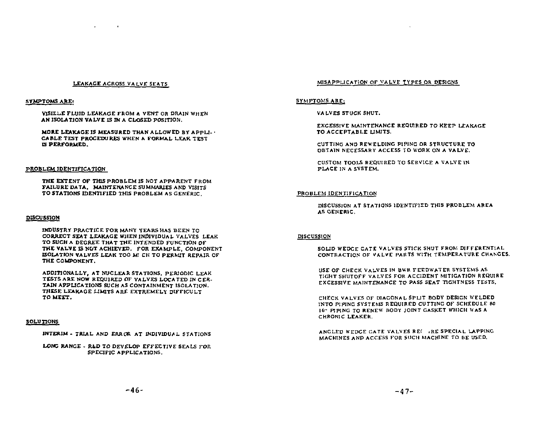### LEAKAGE ACROSS VA LVE SEATS

### SYMPTOMS ARE:

VISIELE FLUID LEAKAGE FROM A VENT OR DRAIN WHEN AN ISOLATION VALVE IS IN A CLOSED POSITION.

MORE LEAKAGE IS MEASURED THAN ALLOWED BY APPLI- • CABLE TEST PROCEDURES WHEN A FORMAL LEAK TEST 15 PERFORMED.

### PROBLEM IDENTIFICATION

THE EXTENT OF THIS PROBLEM IS NOT APPARENT FROM FAILURE DATA. MAINTENANCE SUMMARIES AND VISITS TO STATIONS IDENTIFIED THIS PROBLEM AS GENERIC.

#### **DISCUSSION**

INDUSTRY PRACTICE FOR MANY YEARS HAS BEEN TO CORRECT SEAT LEAKAGE WHEN INDIVIDUA L VALVES LEAK TO SUCH A DEGREE THAT THE INTENDED FUNCTION OF THE VALVE IS NOT ACHIEVED. FOR EXAMPLE, COMPONENT ISOLATION VALVES LEAK TOO M( CH TO PERMIT REPAIR OF THE COMPONENT,

ADDITIONALLY, AT NUCLEAR STATIONS, PERIODIC LEAK TESTS ARE MOW REQUIRED OF VALVES LOCATED IN CER-TAIN APPLICATIONS SUCH AS CONTAINMENT ISOLATION. THESE LEAKAGE LIMITS AnE EXTREMELY DIFFICULT TO MEET.

### SOLUTIONS

INTERIM - TRIAL AND ERROR AT INDIVIDUAL STATIONS

LONG RANGE - RLD TO DEVELOP EFFECTIVE SEALS FOR SPECIFIC APPLICATIONS.

### MISAPPLICATION OF VALVE TYPES OR DESIGNS

### SYMPTOMS ARE:

VALVES STUCK SHUT.

EXCESSIVE MAINTENANCE REQUIRED TO KEEP LEAKAGE TO ACCEPTABLE UM1TS.

CUTTING AND REWELD1NG PIPING OR STRUCTURE TO OBTAIN NECESSARY ACCESS TO WORK ON A VALVE.

CUSTOM TOOLS REQUIRED TO SERVICE A VALVE IN PLACE IN A SYSTEM.

### PROBLEM IDENTIFICATION

DISCUSSION AT STATIONS IDENTIFIED THIS PROBLEM AREA AS GENERIC.

### DISCUSSION

SOLID WEDGE GATE VALVES STICK SHUT FROM DIFFERENTIAL CONTRACTION OF VALVE PARTS WITH TEMPERATURE CHANGES.

USE OF CHECK VALVES IN BWR FEEDWATER SYSTEMS AS TIGHT SHUTOFF VALVES FOR ACCIDENT MITIGATION REQUIRE EXCES5IVE MAINTENANCE TO PASS SEAT TIGHTNESS TESTS.

CHECK VALVES OF DIAGONAL SPLIT BODY DESIGN WELDED INTO PIPING SYSTEMS REQUIRED CUTTING OF SCHEDULE BO 16" PIPING TO RENEW BODY JOINT GASKET WHICH WAS A CHRONIC LEAKER.

ANGLED WEDGE GATE VALVES R E( ,RE SPECIAL LAPPING MACHINES AND ACCESS FOR SUCH MACHINE TO BE USED.

**-46 -**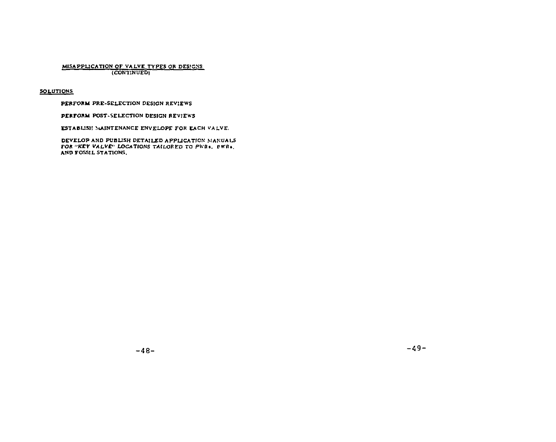**MISAPPLICATION OF VALVE TYPES OR DCS'CNS (CONTINUED)** 

### **SOLUTIONS**

**PERFORM PRE-SELECTION DESIGN REVIEWS** 

**PERFORM POST-SELECTION DESIGN REVIEWS** 

**ESTABLISH SAINTENANCE ENVELOPE FOR EACH VALVE.** 

**DEVELOP AND PUBLISH DETAILED APPLICATION MANUALS FOR "KEY VALVE" LOCATIONS TAILORED TO PWRi. FH'Ri, AMD FOSSIL STATIONS.** 

**-48 -**

**-49 -**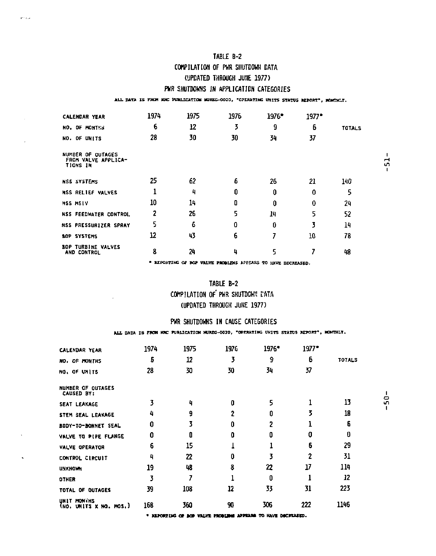# **TABLE B-2**

erialis

# **COMPILATION OF PWR SHUTDOWN DATA**

**(UPDATED THROUGH JUNE 1977)** 

# **PKP, SHUTDOWNS IN APPLICATION CATEGORIES**

# ALL DATA IS FROM NRC PUBLICATION NUREG-0020, "OPERATING UMITS STATUS REPORT", MONTHLY.

| CALENDAR YEAR                                        | 1974 | 1975 | 1976     | 1976* | 1977* |        |
|------------------------------------------------------|------|------|----------|-------|-------|--------|
| NO. OF HONTHS                                        | 6    | 12   | 3        | 9     | 6     | TOTALS |
| NO. OF UNITS                                         | 28   | 30   | 30       | 34    | 37    |        |
| NUMBER OF OUTAGES<br>FROM VALVE APPLICA-<br>TIONS IN |      |      |          |       |       |        |
| NSS SYSTEMS                                          | 25   | 62   | 6        | 26    | 21    | 140    |
| <b>NSS RELIEF VALVES</b>                             |      | 4    | 0        | 0     | ٥     | 5      |
| <b>NSS MSIV</b>                                      | 10   | 14   | 0        | 0     | 0     | 24     |
| <b>NSS FEEDWATER CONTROL</b>                         | 2    | 26   | 5        | 14    | 5     | 52     |
| NSS PRESSURIZER SPRAY                                | 5    | 6    | $\Omega$ | O     | 3     | 14     |
| BOP SYSTEMS                                          | 12   | 43   | 6        |       | 10    | 78     |
| BOP TURBINE VALVES<br>AND CONTROL                    | 8    | 24   |          | 5     |       | 48     |

• REPORTING Or POP VALVE PROBLEMS APPEARS TO HAVE DECREASED.

# **TABLE B-2 COMPILATION OF PHR SHUTDGWN CATA (UPDATED THROUGH JUNE 1977)**

# **FUR SHUTDOWNS IN CAUSE CATEGORIES**

### **ALL DATA IS FROM KAC PUBLICATION NUREG-0020, "OPERATING UNITS STATUS REPORT", MONTHLY.**

| <b>CALENDAR YEAR</b>                  | 1974 | 1975 | 1976 | 1976* | $1977$ <sup>*</sup> |               |
|---------------------------------------|------|------|------|-------|---------------------|---------------|
| NO, OF MONTHS                         | 6    | 12   | 3    | 9     | 6                   | <b>TOTALS</b> |
| NO, OF UNITS                          | 28   | 30   | 30   | 34    | 37                  |               |
| NUMBER OF OUTAGES<br>CAUSED BY:       |      |      |      |       |                     |               |
| SEAT LEAKAGE                          |      | 4    | n    | 5     |                     | 13            |
| STEM SEAL LEAKAGE                     | ц    | 9    | 2    | Ω     |                     | 18            |
| BODY-TO-BONNET SEAL                   | 0    |      | n    | 2     |                     | 6             |
| VALVE TO PIPE FLANGE                  | 0    |      | n    |       |                     | ۵             |
| <b>VALVE OPERATOR</b>                 | 6    | 15   |      |       | 6                   | 29            |
| CONTROL CIRCUIT                       | 4    | 22   | n    | 3     | ,                   | 31            |
| <b>UNKNOWN</b>                        | 19   | 48   |      | 22    | 17                  | 114           |
| <b>OTHER</b>                          | 3    |      |      | 0     |                     | 12            |
| TOTAL OF OUTAGES                      | 39   | 108  | 12   | 33    | 31                  | 223           |
| UNIT MONTHS<br>(NO, UNITS X NO, MOS.) | 168  | 360  | 90   | 306   | 222                 | 1146          |

• **PSPORTIM t »** POP **VALVE PPDHJHI APPEAR\*** TO HAVI **MCKtAfED.**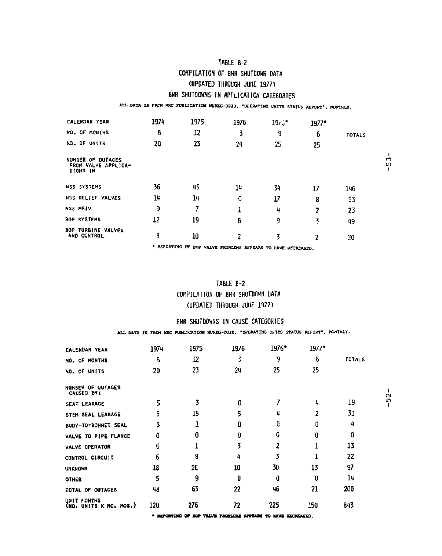# **TABLE B-2**

# **COMPILATION OF BWR SHUTDOWN DATA**

# **(UPDATED THROUGH JUNE 1977)**

# **BWR SHUTDOWNS [N APPLICATION CATEGORIES**

# ALL DATA IS FROM MRC PUBLICATION HUREG-0020, "OPERATING UNITS STATUS REPORT", MONTHLY.

| CALENDAR YEAR                                        | 1974 | 1975 | 1976 | 19/3 | $1977*$ |        |
|------------------------------------------------------|------|------|------|------|---------|--------|
| NO. OF MONTHS                                        | 6    | 12   | 3    | 9    | 6       | TOTALS |
| NO, OF UNITS                                         | 20   | 23   | 24   | 25   | 25      |        |
| NUMBER OF OUTAGES<br>FROM VALVE APPLICA-<br>TIONS IN |      |      |      |      |         |        |
| <b>NSS SYSTEMS</b>                                   | 36   | 45   | 14   | 34   | 17      | 146    |
| NSS RELIEF VALVES                                    | 14   | 14   | 0    | 17   | 8       | 53     |
| <b>NSS HSIV</b>                                      | 9    |      |      | 4    | 2       | 23     |
| <b>BOP SYSTEMS</b>                                   | 12   | 19   | 6    | 9    | 3       | 49     |
| BOP TURBINE VALVES<br>AND CONTROL                    | 3    | 10   |      |      | 2       | 20     |

' REPORTING DT BOP VALVE PROBLEMS APPEARS TO HAVE DECREASED.

# **TABLE B-2 COMPILATION OF BUR SHUTDOWN DATA (UPDATED THROUGH JUNE 1977)**

# **BWR SHUTDOWNS IN CAUSE CATEGORIES**

# ALL DATA IS FROM MRC PUBLICATION KUREG-0020, "OFERATING USITS STATUS REPORT", MONTHLY.

| CALENDAR YEAR                         | 1974 | 1975 | 1976 | $1976^{\circ}$ | 1977" |        |    |
|---------------------------------------|------|------|------|----------------|-------|--------|----|
| NO. OF MONTHS                         | 6    | 12   | 3    | 9              | 6     | TOTALS |    |
| NO. OF UNITS                          | 20   | 23   | 24   | 25             | 25    |        |    |
| NUMBER OF OUTAGES<br>CAUSED BY:       |      |      |      |                |       |        | 52 |
| <b>SEAT LEAKAGE</b>                   |      | 3    | n    |                | u     | 19     |    |
| STEM SEAL LEAKAGE                     |      | 15   | 5    |                |       | 31     |    |
| BODY-TO-BONNET SEAL                   |      |      | Ω    | n              | Λ     | 4      |    |
| VALVE TO PIPE FLANGE                  |      |      | n    |                |       | ۵      |    |
| VALVE OPERATOR                        | 6    |      |      |                |       | 13     |    |
| CONTROL CIRCUIT                       | 6    | я    | 4    |                |       | 22     |    |
| <b>UNKNOWN</b>                        | 18   | 26   | 10   | 30             | 13    | 97     |    |
| <b>OTHER</b>                          |      | 9    | O    | 0              | ٥     | 14     |    |
| TOTAL OF OUTAGES                      | 48   | 63   | 22   | 46             | 21    | 200    |    |
| UNIT FONTHS<br>(NO, UMITS X NO, MOS,) | 120  | 276  | 72   | 225            | 150   | 843    |    |

**\* REPORTING OF BOR VALVE FROBLING AFFEARS TO HAVE DECREASED.**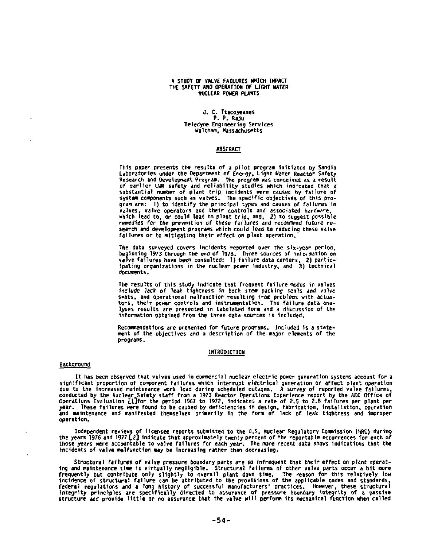#### **A STUDY OF VALVE FAILURES WHICH IMPACT THE SAFETr AND OPERATION Of LIGHT HATER NUCLEAR POWER PLANTS**

#### **J. C. Tsacoyeanes**  *9.* **P. ftaju Teledyne Engineering Services Waltham, Massachusetts**

### **ABSTRACT**

This paper presents the results of a pilot program initiated by Sandia<br>Laboratories under the Department of Energy, Light Water Reactor Safety Research and Development Program. The program was conceived as a result **of earlier LWR safety and reliability studies which inti-cated that a substantial number of plant trip incidents were caused by failure of**  system components such as valves. The specific objectives of this pro-<br>gram are: Il to identify the principal types and causes of failures in<br>valves, valve operators and their controls and associated hardware,<br>which lead t **search and development programs which could lead to reducing these valve failures or to mitigating their effect on plant operation.** 

**The data surveyed covers incidents reported over the six-year period, beginning 1973 through the end of 1978. Three sources Df information on valve failures have been consulted: 1} failure data centers, 2) partic-ipating organizations in the nuclear power industry, and 3) technical documents.** 

The results of this study indicate that frequent failure modes in valves **include lack of leak tightness in both stem packing seals and valve**  seats, and operational malfunction resulting from problems with actua**tors, their power controls and instrumentation. The failure data analyses results are presented in tabulated form and a discussion of the information obtained from the three data sources Is included.** 

**Recommendations are presented for future programs. Included Is a state-ment of the objectives and a description of the major elements of the programs.** 

### **IHTRODUCTIOH**

### **Background**

It has been observed that valves used in commercial unclear electric power generation systems account for a<br>significant proportion of component failures which interrupt electrical generation or affect plant operation<br>due t **operation.** 

Independent reviews of licensee reports submitted to the U.S. Nuclear Regulatory Commission (NRC) during<br>the years 1976 and 1977[2] indicate that approximately twenty percent of the reportable occurrences for each of **those years were accountable to valve failures for each year. The more recent data shows Indications that the incidents of valve malfunction may be Increasing rather than decreasing.** 

Structural failures of value pressure boundary parts are so infrequent that their effect on plant operat-<br>ing and maintenance time is virtually negligible. Structural failures of other value parts occur a bit more<br>frequent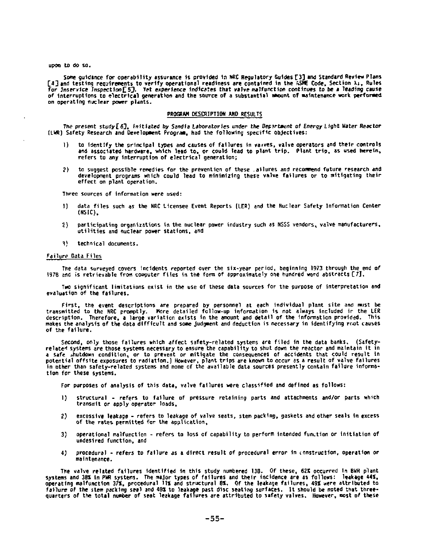**upon to do so.** 

Some guidance for operability assurance is provided in MRC Regulatory Guides[3] and teating requirements to verify operational redictions are contained in the ASME Code, Section א., Rules<br>Tor Inservice Inspection [5]. Yet **on operating nuclear power plants.** 

### **PROGRAM DESCRIPTION AND RESULTS**

**The present study£61. initiated by Sandia Laboratories under the Depsrfownt of Energy Light Water Reactor (LWR) Safety Research and Development Progran, had the following specific objectives:** 

- **1) to Identify the principal types and causes of failures in va»ves, valve operators and their controls and associated hardware, which lead to, or could lead to plant trip. Plant trip, as used herein, refers to any interruption of electrical generation;**
- **2) to suggest possible remedies for the prevention of these .allures and recommend future research and development programs which could lead to minimizing thes? valve failures or to mitigating their effect on plant operation.**

**Three sources of information were used:** 

- **1) data files such as the NRC Licensee Event Reports (LER) and the Nuclear Safety Information Center (NSIC),**
- **2) participating organizations in the nuclear power industry such as NSSS vendors, valve manufacturers, utilities and nuclear power stations, and**
- **?) technical documents.**

### **failure Data Files**

**The data surveyed covers Incidents reported over the six-year period, beginning 1973 through the end of 1978 jnd is retrievable from computer files in the form of approximately one hundred word abstracts C73.** 

**Two significant 1 imitations exist in the use of these data sources for the purpose of interpretation and evaluation of the failures.** 

**First, the event descriptions are prepared by personnel at each individual plant site and nust be transmitted to the NRC promptly- Here detailed follow-up information is not always Included ir the LER**  description. Therefore, a large variation exists in the amount and detail of the information provided. This<br>makes the analysis of the data difficult and some judgment and deduction is necessary in identifying root causes **of the failure.** 

-Second, only those failures which affect safety-related systems are filed in the data banks. (Safety<br>related systems are those systems necessary to ensure the capability to shut down the reactor and maintain it in a safe shutdown condition, or to prevent or mitigate the consequences of accidents that could result in<br>potential offsite-exposures to radiation.) However, plant trips are known to occur as a result of valve fallures<br>in ot **tion for these systems.** 

**For purposes of analysis of this data, valve failures were classified and defined as follows:** 

- **1} structural refers to fallure of pressure retaining parts and attachments and/or parts which transmit or apply operator loads,**
- **2) excessive leakage refers to leakage of valve seats, stem packing, gaskets and other seals in excess of the rates, permitted for the application,**
- **3) operational malfunction refers to loss of capability to perform intended function or initiation of undesired function, and**
- **4) procedural refers to failure as a direct result of procedural error In ((instruction, operation or maintenance.**

**The valve related failures Identified 1n this study numbered 13S. Of these, 62X occurred in BWH plant systems and 38t in PHR systems. The major types of failures and their incidence are as follows: leakage 44X, operating malfunction 37\*, procedural 1IX and structural 8\*. Of the leakage failures, 49\* were attributed to**  failure of the stem packing seal and 48% to leakage past disc seating surfaces. It should be noted that three-<br>quarters of the total number of seat leakage failures are attributed to safety valves. However, most of these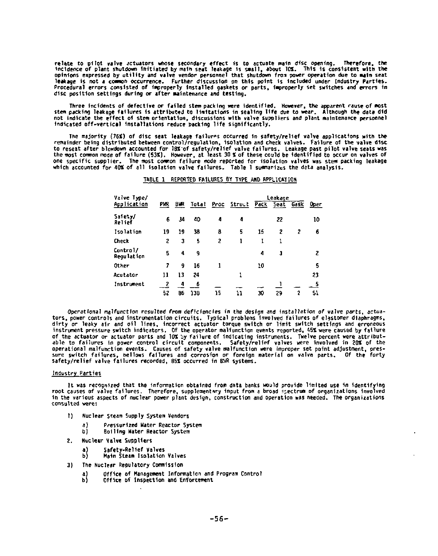relate to pilot valve actuators whose secondary effect is to actuate main disc opening. Therefore, the<br>incidence of plant shutdown initiated by main seat leakage is small, about lO%. This is consistent with the<br>opinions **leakage is not a coamon occurrence. Further discussion on this point is Included under Industry Parties.**  Procedural errors consisted of improperly installed gaskets or parts, improperly set switches and <del>er</del>rors in<br>disc position settings during or after maintenance and testing.

**Three incidents of defective or failed stem packing were identified. However, the apparent rause of »ost stem packing leakage failures Is attributed to linltations 1n sealing life due to wear. Although the data did not indicate the effect of stem orientation, discussions with valve suppliers and plant maintenance personnel indicated off-vertical installations reduce packing life significantly.** 

**The majority** *(7St)* **of disc seat leakage failures occurred in safety/relief valve applications with the**  remainder being distributed between control/regulation, isolation and check valves. Failure of the valve disc<br>to reseat after blowdown accounted for 18% of safety/relief valve failures. Leakage past pilot valve seats was<br>t **one specific supplier. The most common failure mode reported for isolation valves was stem packing leakage which accounted for 40\* of all isolation valve failures. Table 1 summarizes the data analysis.** 

### TABLE 1 REPORTED FAILURES BY TYPE AND APPLICATION

| Valve Type/<br>Application | <b>PWR</b> | <b>DIAR</b>         | Total    | Proc | Struct | Pack | Leakage<br>Seat | Gask | Oper                           |
|----------------------------|------------|---------------------|----------|------|--------|------|-----------------|------|--------------------------------|
| Safety/<br>Relief          | 6          | 34                  | 40       | 4    | 4      |      | 22              |      | 10                             |
| Isolation                  | 19         | 19                  | 38       | B    | 5      | 15   | 2               | 7    | 6                              |
| <b>Check</b>               | 2          | 3                   | 5        | 2    | 1      | I    | 1               |      |                                |
| Control/<br>Regulation     | 5          | 4                   | 9        |      |        | 4    | J.              |      | 2                              |
| <b>Other</b>               | 7          | 9                   | 16       | 1    |        | 10   |                 |      | 5                              |
| Acutator                   | 11         | 13                  | 24       |      |        |      |                 |      | 23                             |
| Instrument                 | 52         | 4<br>B <sub>5</sub> | 6<br>138 | 15   | 11     | 30   | 29              | 2    | $\overline{\phantom{0}}$<br>51 |

**Operational malfunction resulted from deficiencies in the design and installation of valve parts, actua**tors, power controls and instrumentation circuits. Typical problems involved failures of elastomer diaphragms,<br>intry or leaky air and oil lines, incorrect actuator torque switch or limit switch settings and erroneous<br>intru able to failures in power control circuit components. Safety/relief valves were involved in 20% of the<br>operational malfunction events. Causes of safety valve malfunction were improper set point adjustment, pres-<br>safety/r

### **Industry Parties**

**It was recognized that the information obtained from data banks would provide limited use in Identifying**  root causes of valve failures. Therefore, supplementary input from a broad spectrum of organizations involved<br>in the various aspects of nuclear power plant design, construction and operation was needed. The organizations **consulted were:** 

- **1) Nuclear steam Supply System Vendors** 
	- **a)** Pressurized Water Reactor System<br>b) Boiling Water Reactor System
	- **bj Boiling Hater Reactor System**
- *2.* **Nuclear valve Suppliers** 
	- **a) Safety-Relief Valves**
	-
- **The Nuclear Requistory Commission**  $\mathbf{a}$ 
	- **3)** Office of Management Information and Program Control<br>b) Office of Inspection and Enforcement
	- Office of Inspection and Enforcement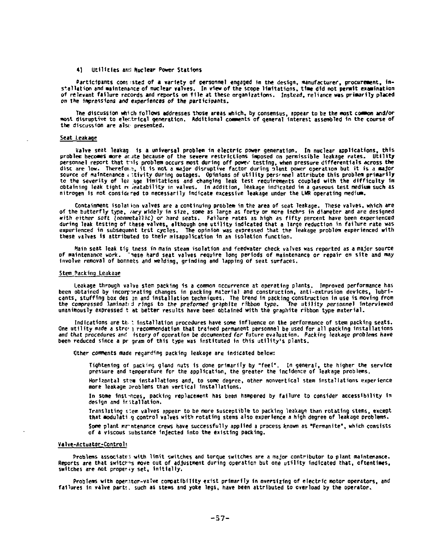### **4) Utilities and Nuclear Power Stations**

**Participants cons 'Sted of a variety of personnel engaged in the design, manufacturer, procurement, in**stallation and maintenance of nuclear valves. In view of the scope limitations, time did not permit examination<br>of relevant failure records and reports on file at these organizations. Instead, reliance was primarily placed **on the impressions and experiences of the participants.** 

The discussion which follows addresses those areas which, by consensus, appear to be the most common and/or<br>most disruptive to electrical generation. Additional comments of general interest assembled in the course of **the discussion are alsc presented.** 

### **Seat leakage**

Valve seat leakage is a universal problem in electric power generation. In nuclear applications, this problem becomes more acute because of the severe restrictions imposed on permissible leakage rates. Utility discuss the

**Containment isolat ion valves are a continuing problem in the area of seat leakage. These valves, which are**  of the butterfly type, vary widely in size, some as large as forty or more inches in diameter and are designed<br>with either soft (nonmetallic) or hard seats. Failure rates as high as fifty percent have been experienced during leak testing of these valves, although one utility indicated that a large reduction in failure rate was<br>experienced in subsequent test cycles. The opinion was expressed that the leakage problem experienced with<br>thes

**Main seat leak tig tress in main steam isolation and feedwater check valves was reported as a major source Df maintenance work. iese hard seat valves require long periods of maintenance or repair on site and may Involve removal of bonnets and welding, grinding and lapping of seat surfaces.** 

### **Stem.Packing Leakage**

**Leakage through valve stem packing 1s a common occurrence at operating plants. Improved performance has**  been obtained by incorporating changes in packing material and construction, anti-extrusion devices, lubri-<br>cants, stuffing box des 3n and installation techniques. The trend in packing construction in use is moving from the compressed laminatrd rings to the preformed graphite ribbon type. The utility personnel interviewed<br>unanimously expressed t at better results have been obtained with the graphite ribbon type material.

Indications are the : installation procedures have some influence on the performance of stem packing seats. **One utility made a stro-** *}* **recommendation that trained permanent personnel be used for all packing installations and that procedures and istory of operation be documented for future evaluation. Packing leakage problems have been reduced since a pr gram of this type was Instituted In this utility's plants.** 

**Other comments made regarding packing leakage are indicated below:** 

**Tightening of packing gland nuts is done primarily by "feel". In general, the higher the service pressure and temperature for the application, the greater the incidence of leakage problems.** 

**Horizontal stem installations and, to some degree, other nonvertical stem Installations experience more leakage problems than vertical Installations,** 

In some instinces, packing replacement has been hampered by failure to consider accessibility in **design and ir-.tallation.** 

**Translating s:em valves appear to be more Susceptible to packing leakage than rotating stems, except that aodulati g control valves with rotating stems also experience a high degree of leakage problems.** 

Some plant mr ntenance crews have successfully applied a process known as "Fermanite", which consists **of a viscous substance injected into the existing packing.** 

### **Valvc-Actuator-Control;**

**Problems associate! with limit switches and torque switches are a major contributor to plant maintenance. Reports are that switches move out of adjustment during operation but one utility indicated that, oftentimes,**  switches are not proper iy set, initially.

Problems with openitor-valve compatibility exist primarily in oversizing of electric motor operators, and **failures In valve part;, such as stems and yoke legs, have been attributed to overload by the operator.**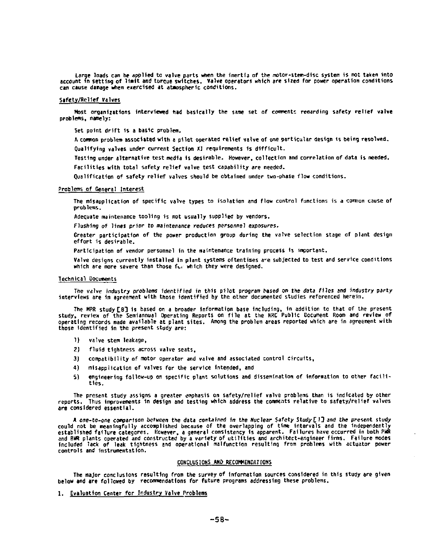Large loads can be applied to valve parts when the inertia of the motor-stem-disc system is not taken into<br>account in setting of limit and torcue switches. Valve operators which are sized for power operation conditions can cause damage when exercised at atmospheric conditions.

### Safety/Belief Valves

Host organizations interviewed had basically the same set of comments reoarding safety relief valve problems, namely:

Set point drift is a basic problem.

ft common problem associated with a pilot operated relief valve of one particular design is being resolved. Qualifying valves under current Section XI requirements is difficult .

Testing under alternative test media is desirable. However, collection and correlation of data is needed. Facilities with total safety relief valve test capability are needed.

Qualification of safety relief valves should be obtained under two-phase flow conditions.

### Problems of General Interest

The misapplication of specific valve types to isolation and flow control functions is a comnon cause of problems.

**Adequate maintenance tooling is not usually supplied by vendors.** 

**Flushing of lines prior to maintenance reduces personnel exposures.** 

**Greater participation of the power production group during the valve selection stage of plant design** 

Participation of vendor personnel in the maintenance training process is important.

Valve designs currently installed in plant systems oftentimes are subjected to test and service conditions **Valve designs currently Installed in plant systems oftentisces a-e subjected to test and service conditions which are more severe than those fi\_< which they were designed.** 

### **Technical Documents**

**The valve industry problems identified in this pilot program based on the data files and industry party interviews are In agreement with those identified by the other documented studies referenced herein.** 

**The MPR study CBl Is based on a broader Information base including. In addition to that of the present study, review of the Semiannual Operating Reports on file at the NRC Public Document Room and review of operating records made available at plant sites. Among the problem areas reported which are in agreement with those identified in the present study are:** 

- **1) valve stem leakage,**
- **2) fluid tightness across valve seats,**
- **3) compatibility of motor operator and valve and associated control circuits,**
- **4) misapplication of valves for the service intended, and**
- **5) engineering follow-up on specific plant solutions and dissemination of information to other facilities.**

**The present study assigns a greater emphasis on safety/relief valve problems than is indicated by other reports. Thus improvements in design and testing which address the comments relative to safety/relief valves are considered essential.** 

A one-to-one comparison between the data contained in the Muclear Safety Study II and the present study<br>could not be meaningfully accomplished because of the overlapping of time intervals and the independently<br>established **controls and Instrumentation.** 

### **CONCLUSIONS AND RECOMMENDATION'S**

**The major conclusions resulting from the survey of information sources considered in this study are given below and are followed by recommendations for future programs addressing these problems.** 

### **1. Evaluation Center for Industry Valve Problems**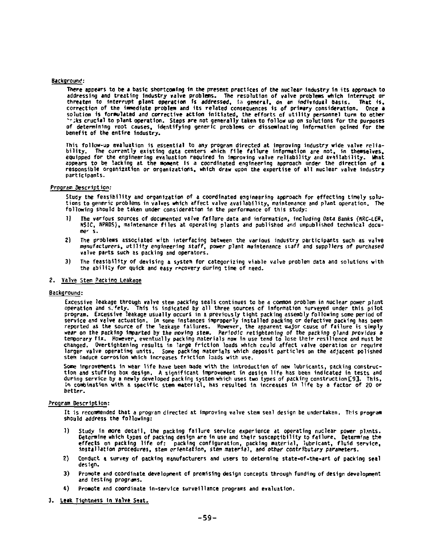### **Background:**

There appears to be a basic shortcoming in the present practices of the nuclear industry in its approach to<br>addressing and treating industry valve problems. The resolution of valve problems which interrupt or threaten to interrupt plant operation is addressed, in general, on an individual basis. That is,<br>correction of the immediate problem and its related consequences is of primary consideration. Once a solution is formulated and corrective action initiated, the efforts of utility personnel turn to other<br>"Diks crucial to plant operation. Steps are not generally taken to follow up on splutions for the purposes<br>benefit of t

This follow-up evaluation is essential to any program directed at improving industry wide valve reliability. The currently existing data centers which file failure information are not, in themselves,<br>equipped for the engineering evaluation required in improving valve reliability and availability. What appears to be lacking at the moment is a coordinated engineering approach under the direction of a responsible organization or organizations, which draw upon the expertise of al l nuclear valve industry participants.

#### Program Description:

Study the feasibility and organization of a coordinated engineering approach for effecting timely solutions to generic problems in valves which affect valve availability, maintenance and plant operation. The<br>following should be taken under consideration in the performance of this study:

- 1) The various sources of documented valve failure data and information, including Data Banks (NRC-LER, NSIC, NPRDS), maintenance file s at operating plants and published and unpublished technical docume' s.
- 2) The problems associated with interfacing between the various industry participants such as valve manufacturers, utility engineering staff, power plant maintenance staff and suppliers of purchased valve parts such as packing and operators.
- 3) The feasibility of devising a system for categorizing viable valve problem data and solutions with the ability for quick and easy recovery during time of need.

# 2. Valve Stem Packing Leakage

### Background:

Excessive leakage through valve stem packing seals continues to be a common problem in nuclear power plant<br>operation and s.'ety. This is indicated by all three sources of information surveyed under this pilot.<br>program. Exc service and value actuation. In some instances improperly installed packing or defective packing has been<br>reported as the source of the leakage failures. However, the apparent major cause of failure is simply<br>vear on the p larger valve operating units. Some packing materials which deposit particles on the adjacent polished stem induce corrosion which Increases friction bads with use.

Some improvements in wear life have been wade with the introduction of new lubricants, packing construction and stuffing box design. A significant improvement in design life has been indicated in tests and during service by a newly developed packing system which uses two types of packing construction C9U. This, In combination with a specific stem material, has resulted 1n increases in lif e by a factor of 20 or better.

### Program Description:

It 1s recommended that a program directed at improving valve stem seal design be undertaken. This program should address the following:

- 1) Study in more detail, the packing failure service experience at operating nuclear power plants. Determine which types of packing design are in use and their susceptibility to failure. Determine the effects on packing life of: [packing configuration, packing material, lubricant, fluid service,<br>installation procedures, stem orientation, stem material, and other contributary parameters.
- 2) Conduct a survey of packing manufacturers and users to determine state-of-the-art of packing seal design.
- 3) Promote and coordinate development of promising design concepts through funding of design development and testing programs.
- 4) Promote and coordinate In-service surveillance programs and evaluation.

3. leak Tightness in Valve Seat.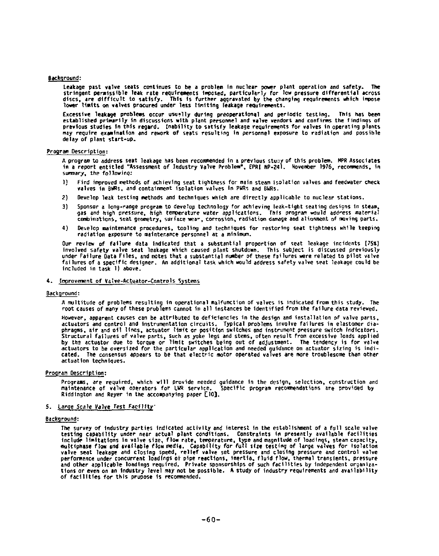### **Background:**

**Leakage past valve seats continues to be a problem In nuclear power plant operation and safety. The**  stringent permissible leak rate requirements imposed, particularly for low pressure differential across<br>discs, are difficult to satisfy. This is further aggravated by the changing requirements which impose<br>lower limits on

**Excessive leakage problems occur usually during preoperational and periodic testing. This has been established primarily in discussions with plant personnel and valve vendors and confirms the findings of previous studies In this regard. Inability to satisfy leakage requirements for valves in operating plants, may require examination and rework of seats resulting In personnel exposure to radiation and possible delay of plant start-up.** 

### **Program Description:**

A program to address seat leakage has been recommended in a previous stuay of this problem. MPR Associates<br>in a report entitled "Assessment of Industry Valve Problem", EPRI NP-241. November 1976, recommends, in **summary, the following:** 

- **1) Find improved methods of achieving seat tightness for main steam isolation valves and feedwater check valves in BWRs, and containment isolation valves in PWRs and BURs.**
- **2) Develop leak testing methods and techniques which are directly applicable to nuclear stations.**
- , Sponsor a long-range program to develop technology for achieving leak-tight seating designs in steam.<br>gas and high pressure, high temperature water applications. This program would address material<br>. combinations, seat g
- **4) Develop maintenance procedures, tooling and techniques for restoring seat tightness while keeping radiation exposure to maintenance personnel at a minimum.**

**Our review of failure data indicated that a substantial proportion of seat leakage incidents** *[75%)*  **involved safety valve seat leakage which caused plant shutdown. This subject is discussed previously under Failure Data Files, and notes that a substantial number of these failures were related to pilot valve failures of a specific designer. An additional task which would address safety valve seat leakage could be included in task 1) above.** 

### **4. Improvement of Valve-Actuator-Controls Systems**

### **Background:**

A multitude of problems resulting in operational malfunction of valves is indicated from this study. The<br>root causes of many of these prublems cannot in all instances be identified from the failure data reviewed.

**However, apparent causes can be attributed to deficiencies in the design and installation of valve parts,**  actuators and control and instrumentation circuits. Typical problems involve failures in elastomer dia-<br>
ohraoms, air and oil lines, actuator limit or position switches and instrument pressure switch indicators. phragms, air and oil lines, actuator limit or position switches and instrument pressure switch indicators.<br>Structural failures of valve parts, such as yoke legs and stems, often result from excessive loads applied<br>by the a **actuation techniques.** 

#### **Program Description:**

**Prograas, are required, which will provide needed guidance In the design, selection, construction and**  maintenance of valve operators for LWR service. Specific program recommendations are provided by .<br>Riddington and Reyer in the accompanying paper [10**]**.

# **5. Large Scale Valve Test Facility'**

### **Background:**

**The survey of industry parties indicated activity and Interest In the establishment of a full scale valve**  testing capability under near actual plant conditions. Constraints in presently available facilities<br>multiphase flow and available flow mate, temperature, type and magnitude of loadings, steam capacity,<br>valve seat leakag performance under concurrent loadings of pipe reactions, imertia, fluid flow, thermal translents, pressure<br>and other applicable loadings required. Private sponsorships of such facilities by independent organiza-<br>tions or **of facilities for this prupose Is recommended.**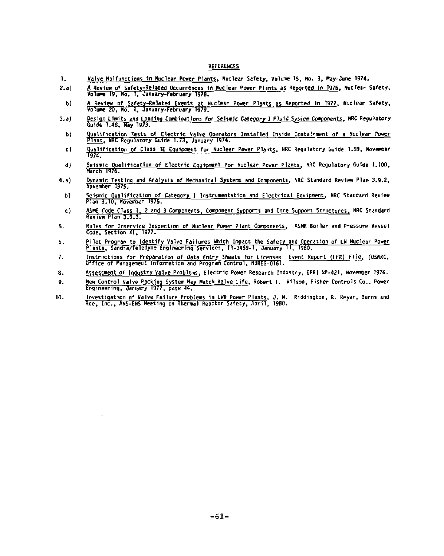### **REFERENCES**

- **1. Valve Malfunctions in Nuclear Power Plants, Nuclear Safety, Volume 15, No. 3, Hay-June 1974.**
- **2.a) A Review of Safety-Related Occurrences in Nuclear Power Plants as Reported in 1976, Nuclear Safety, Volume 19, Ko. 1, January-February 1978.**
- **b) A Review of Safety-Related Events at nuclear Power Plants as Reported In 1977, Nuctear Safety,**
- **3.a) Design Limits and Loading Combinations for Seismic Category I Fluid System Components, KRC Regulatory**<br>Curide 1.48, May 1973.
- **Guide 1.48, Hay l9?3. b) qualification Tests of Electric Valve Operators Installed Inside Containment of a Nuclear Power Plant. NRC Regulatory Guide 1.73. January l9?4.**
- c) Qualification of Class IE Equipment for Nuclear Power Plants, NRC Regulatory Guide 1.89, November<br>1974
- **d} Seismic Qualification of Electric Equipment for Nuclear Power Plants, NRC Regulatory Guide 1.100, March 1976.**
- **4.a) Dynamic Testing and Analysis of Mechanical Systems and Components, NRC Standard Review Plan 3.9.2,**
- **November 1975. b) Seismic Qualification of Category 1 Instrumentation and Electrical Eguipment. NRC Standard Review Plan 3.10, November 1975.**
- **c) ASME Code Class 1.** *2* **and 3 Components, Component Supports and Core Support StructuresT NRC Standard Aeview Plan 3.9.3.**
- 5. Rules for Inservice Inspecti<u>on of Nuclear Power Plant Components</u>, ASME Boiler and P-essure Vessel<br>Code, Section XI, 1977.
- **S. Pilot Program to Identify Valve Failures which Impact the Safety and Operation of LW Nuclear Power Plants, Sandia/Teledyne Engineering Services, TR-3459-1, January11. i960.**
- 7. Instructions for Preparation of Data Entry Sheets for Licensee <u>Event Report (LER) File</u>, (USNRC,<br>Office of Management Information and Program Control, NUREG-0161.
- **8. Assessment of Industry Valve Problems. Electric Power Research Industry, EPRI NP-421, November 1976.**
- **9. New Control Valve Packing System Hay Match Valve Life. Robert T. Wilson, Fisher Controls Co., Power Engineering, January 1977, page 44,**
- **10. Investigation of Valve Failure Problems in LWR Power Plants. J. w. Riddington, R. Reyer, Burns and Roe, Inc., ANS-ENS Meeting on Thermal Reactor Safety, April, 1980.**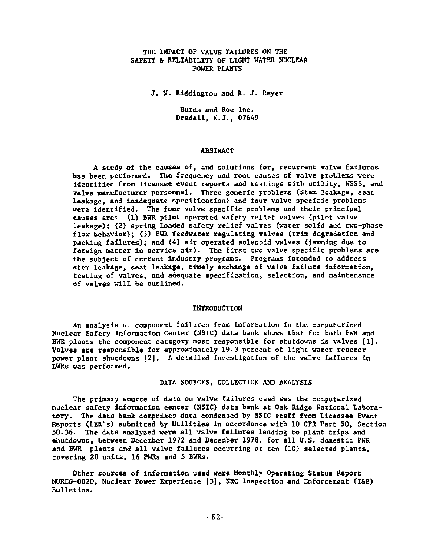### THE IMPACT OF VALVE FAILURES ON THE SAFETY & RELIABILITY OF LIGHT WATER NUCLEAR POWER PLANTS

J. *M.* Riddington and R. J. Reyer

Burns and Roe Inc. Oradell, N.J., 07649

### ABSTRACT

A study of the causes of, and solutions for, recurrent valve failures has been performed. The frequency and root causes of valve problems were identified from licensee event reports and meetings with utility, NSSS, and valve manufacturer personnel. Three generic problems (Stem leakage, seat leakage, and inadequate specification) and four valve specific problems were identified. The four valve specific problems and their principal causes are: (1) BWR pilot operated safety relief valves (pilot valve leakage); (2) spring loaded safety relief valves (water solid and two-phase flow behavior); (3) PWR feedwater regulating valves (trim degradation and packing failures); and (4) air operated solenoid valves (jamming due to foreign matter in service air). The first two valve specific problems are the subject of current industry programs. Programs intended to address stem leakage, seat leakage, timely exchange of valve failure information, testing of valves, and adequate specification, selection, and maintenance of valves will be outlined.

### INTRODUCTION

An analysis  $o$ . component failures from information in the computerized Nuclear Safety Information Center (NSIC) data bank shows that for both PWR and BWR plants the component category most responsible for shutdowns is valves [1]. Valves are responsible for approximately 19.3 percent of light water reactor power plant shutdowns [2]. A detailed investigation of the valve failures in LWRs was performed.

# DATA SOURCES, COLLECTION AND ANALYSIS

The primary source of data on valve failures used was the computerized nuclear safety information center (NSIC) data bank at Oak Ridge National Laboratory. The data bank comprises data condensed by NSIC staff from Licensee Event Reports (LER's) submitted by Utilities in accordance with 10 CFR Part 50, Section 50.36. The data analyzed were all valve failures leading to plant trips and shutdowns, between December 1972 and December 1978, for all U.S. domestic PWR and BWR plants and all valve failures occurring at ten (10) selected plants, covering 20 units, 16 PWRs and 5 BWRs.

Other sources of information used were Monthly Operating Status Report NUREG-0020, Nuclear Power Experience [3], NRC Inspection and Enforcement (I&E) Bulletins.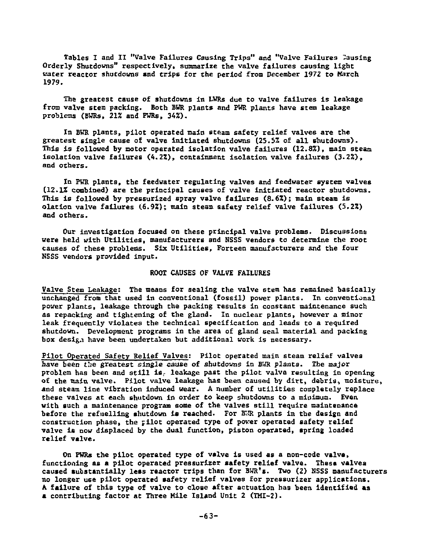Tables I and II "Valve Failures Causing Trips" and "Valve Failures Causing Orderly Shutdowns" respectively, summarize the valve failures causing light water reactor shutdowns and trips for the period from December 1972 to March 1979.

The greatest cause of shutdowns in LWRs due to valve failures is leakage from valve stem packing. Both BWR plants and PWR plants have stem leakage problems (BWRs, 21% and PWRs, 34%).

In BWR plants, pilot operated main steam safety relief valves are the greatest single cause of valve initiated shutdowns (25.57 of all shutdowns). This is followed by motor operated isolation valve failures (12.8%), main steam isolation valve failures (4.2%), containment isolation valve failures (3.2%), and others.

In PWR plants, the feedwater regulating valves and feedwater system valves (12.1% combined) are the principal causes of valve initiated reactor shutdowns. This is followed by pressurized spray valve failures (8.6%); main steam is olation valve failures (6.9%); main steam safety relief valve failures (5.2%) and others.

Our investigation focused on these principal valve problems. Discussions were held with Utilities, manufacturers and NSSS vendors to determine the root causes of these problems. Six Utilities, Forteen manufacturers and the four NSSS vendors provided input.

### ROOT CAUSES OF VALVE FAILURES

Valve Stem Leakage: The means for sealing the valve stem has remained basically unchanged from that used in conventional (fossil) power plants. In conventional power plants, leakage through the packing results in constant maintenance such as repacking and tightening of the gland. In nuclear plants, however a minor leak frequently violates the technical specification and leads to a required shutdown. Development programs in the area of gland seal material and packing box design have been undertaken but additional work is necessary.

Pilot Operated Safety Relief Valves: Pilot operated main steam relief valves have been the greatest single cause of shutdowns in BWR plants. The major problem has been and still is, leakage past the pilot valve resulting in opening of the main valve. Pilot valve leakage has been caused by dirt, debris, moisture, and steam line vibration induced wear. A number of utilities completely replace these valves at each shutdown in order to keep shutdowns to a minimum. Even with such a maintenance program some of the valves still require maintenance before the refuelling shutdown is reached. For BWR plants in the design and construction phase, the pilot operated type of pover operated safety relief valve is now displaced by the dual function, piston operated, spring loaded relief valve.

On PWRs the pilot operated type of valve is used as a non-code valve, functioning as a pilot operated pressurlzer safety relief valve. These valves caused substantially less reactor trips than for BWR's. Two (2) NSSS manufacturers no longer use pilot operated safety relief valves for pressurlzer applications. A failure of this type of valve to close after actuation has been identified as a contributing factor at Three Mile Island Unit 2 (TMI-2).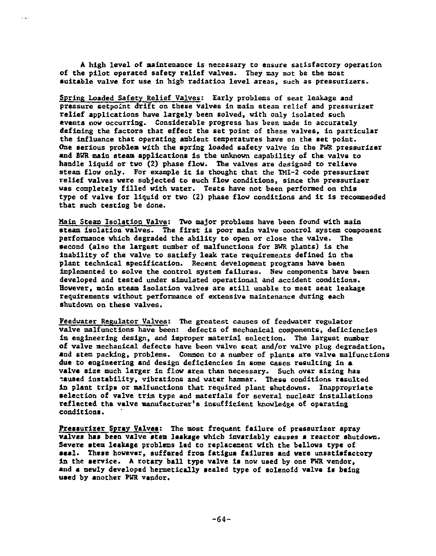**A high level of nalntenance Is necessary to ensure satisfactory operation of the pilot operated safety relief valves. They may not be the most suitable valve for use in high radiation level areas, such as pressurizers.** 

**Spring Loaded Safety Relief Valves: Early problems of seat leakage and pressure setpolnt drift on these valves in main steam relief and pressurizer relief applications have largely been solved, with only isolated such events now occurring. Considerable progress has been made in accurately defining the factors that effect the set point of these valves, in particular the influence that operating ambient temperatures have on the set point. One serious problem with the spring loaded safety valve in the FUR pressurizer and BWR main steam applications is the unknown capability of the valve to handle liquid or two (2) phase flow. The valves are designed to relieve steam flow only. For example it is thought that the THI-2 code pressurizer relief valves were subjected to such flow conditions, since the pressurizer was completely filled with water. Teats have not been performed on this type of valve for liquid or two (2) phase flow conditions and it is recommended that such testing be done.** 

**Main Steam Isolation Valve: Two major problems have been found with main steam isolation valves. The first is poor main valve control system component performance which degraded the ability to open or close the valve. The second (also the largest number of malfunctions for BWR plants) is the inability of the valve to satisfy leak rate requirements defined in the plant technical specification. Recent development programs have been implemented to solve the control system failures. New components have been developed and tested under simulated operational and accident conditions. However, main steam Isolation valves are still unable to meet seat leakage requirements without performance of extensive maintenance during each shutdown on these valves.** 

**Feedwater Regulator Valves: The greatest causes of feedwater regulator valve malfunctions have been: defects of mechanical components, deficiencies in engineering design, and improper material selection. The largest number of valve mechanical defects have been valve seat and/or valve plug degradation, and stem packing, problems. Common to a number of plants are valve malfunctions due to engineering and design deficiencies in some cases resulting in a valve size much larger in flow area than necessary. Such over sizing has ".aused instability, vibrations and water hammer» These conditions resulted in plant trips or malfunctions that required plant shutdowns. Inappropriate selection of valve trim type and materials for several nuclear installations reflected the valve manufacturer's insufficient knowledge of operating conditions.** 

**Pressurizer Spray Valves: The most frequent failure of pressurizer spray valves has been valve stem leakage which invariably causes a reactor shutdown. Severe stem leakage problems led to replacement with the bellows type of seal. These however, suffered from fatigue failures and were unsatisfactory in the service. A rotary ball type valve is now used by one PWR vendor, and a newly developed hermetically sealed type of solenoid valve Is being used by another PWR vendor.**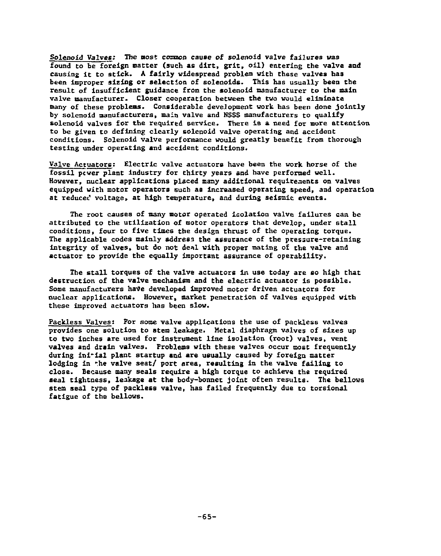Solenoid Valves: The most common cause of solenoid valve failures was found to be foreign natter (such as dirt, grit, oil) entering the valve and causing it to stick. A fairly widespread problem with these valves has been improper sizing or selection of solenoids. This has usually been the result of insufficient guidance from the solenoid manufacturer to the main valve manufacturer- Closer cooperation between the two would eliminate many of these problems. Considerable development work has been done jointly by solenoid manufacturers, main valve and NSSS manufacturers to qualify solenoid valves for the required service. There is a need for more attention to be given to defining clearly solenoid valve operating and accident conditions. Solenoid valve performance would greatly benefit from thorough testing under operating and accident conditions.

Valve Actuators: Electric valve actuators have been the work horse of the fossil pcwer plant industry for thirty years and have performed well. However, nuclear applications placed many additional requirements on valves equipped with motor operators such as increased operating speed, and operation at reducec' voltage, at high temperature, and during seismic events.

The root causes of many motor operated isolation valve failures can be attributed to the utilization of motor operators that develop, under stall conditions, four to five times the design thrust of the operating torque. The applicable codes mainly address the assurance of the pressure-retaining integrity of valves, but do not deal with proper mating of the valve and actuator to provide the equally important assurance of operability.

The stall torques of the valve actuators in use today are so high that destruction of the valve mechanism and the electric actuator is possible. Some manufacturers have developed improved motor driven actuators for nuclear applications. However, market penetration of valves equipped with these improved actuators has been slow.

Packless Valves: For some valve applications the use of packless valves provides one solution to stem leakage. Metal diaphragm valves of sizes up to two inches are used for instrument line isolation (root) valves, vent valves and drain valves. Problems with these valves occur most frequently during initial plant startup and are usually caused by foreign matter lodging in the valve seat/ port area, resulting in the valve failing to close. Because many seals require a high torque to achieve the required seal tightness, leakage at the body-bonnet joint often results. The bellows stem seal type of packless valve, has failed frequently due to torsional fatigue of the bellows.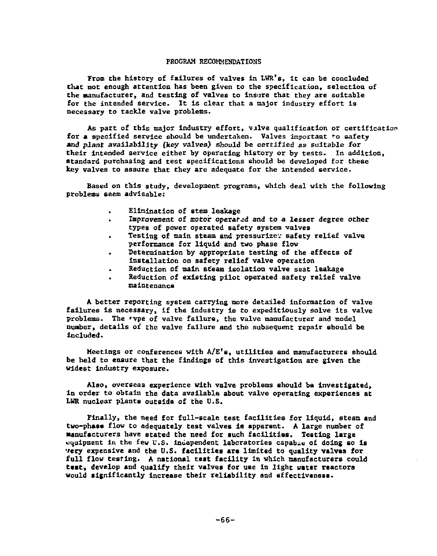### **PROGRAM RECOMMENDATIONS**

**From the history of failures of valves in LWR's, it can be concluded that not enough attention has been given to the specification, selection of the manufacturer, and testing of valves to insure that they are suitable for the intended service. It is clear that a major industry effort is necessary to tackle valve problems.** 

As part of this major industry effort, valve qualification or certification **for a specified service should be undertaken. Valves important \*-o safety and plant availability (key valves) should be certified as suitable for their intended service either by operating history or by tests. In addition, standard purchasing and test specifications should be developed for these key valves to assure that they are adequate for the intended service.** 

**Based on this study, development programs, which deal with the following problems seem advisable:** 

- **Elimination of stem leakage**
- **Improvement of motor operated and to a lesser degree other types of power operated safety system valves**
- **Testing of main steam and pressurizev safety relief valve performance for liquid and two phase flow**
- **Determination by appropriate testing of the effects of**   $\ddot{\phantom{a}}$ **installation on safety relief valve operation**
- **Reduction of main steam isolation valve seat leakage**
- **Reduction of existing pilot operated safety relief valve maintenance**

**A better reporting system carrying more detailed information of valve failures is necessary, if the industry is to expeditiously solve its valve problems. The '-vpe of valve failure, the valve manufacturer and model number, details of the valve failure and the subsequent repair should be included.** 

**Meetings or conferences with A/E's, utilities and manufacturers should be held to ensure that the findings of this investigation are given the widest industry exposure.** 

**Also, overseas experience with valve problems should ba investigated, in order to obtain the data available about valve operating experiences at**  LWR nuclear plants outside of the U.S.

**Finally, the need for full-scale test facilities for liquid, steam and**  two-phase flow to adequately test valves is apparent. A large number of **manufacturers have stated the need for such facilities. Testing large equipment in the few U.S. independent laboratories capable of doing so la**  very expensive and the U.S. facilities are limited to quality valves for **full flow testing. A national test facility in which manufacturers could test, develop and qualify their valves for use in light water reactors would significantly increase their reliability and effectiveness.**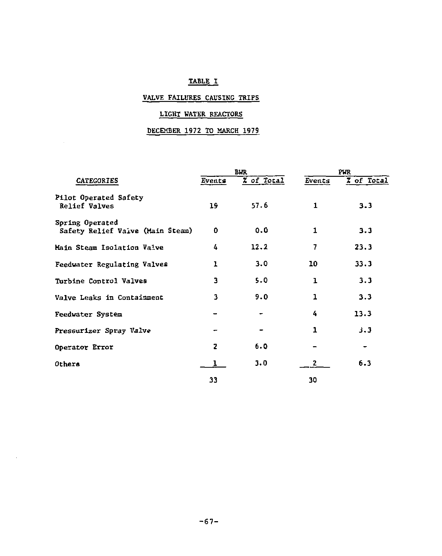# **TABLE I**

# **VALVE FAILURES CAUSING TRIPS**

# **LIGHT WATER REACTORS**

# **DECEMBER 1972 TO MARCH 1979**

|                                                     |                | <b>BWR</b> | PWR          |            |  |
|-----------------------------------------------------|----------------|------------|--------------|------------|--|
| <b>CATEGORIES</b>                                   | Events         | % of Total | Events       | 7 of Total |  |
| Pilot Operated Safety<br><b>Relief Valves</b>       | 19             | 57.6       | 1            | 3.3        |  |
| Spring Operated<br>Safety Relief Vaive (Main Steam) | O              | 0.0        | $\mathbf{1}$ | 3.3        |  |
| Main Steam Isolation Valve                          | 4              | 12.2       | 7            | 23.3       |  |
| Feedwater Regulating Valves                         | 1              | 3.0        | 10           | 33.3       |  |
| Turbine Control Valves                              | 3              | 5.0        | $\mathbf{1}$ | 3.3        |  |
| Valve Leaks in Containment                          | ٦              | 9.0        | 1            | 3.3        |  |
| Feedwater System                                    |                |            | 4            | 13.3       |  |
| Pressurizer Spray Valve                             |                |            | $\mathbf{1}$ | 3.3        |  |
| Operator Error                                      | $\overline{z}$ | 6.0        |              |            |  |
| Others                                              | ı              | 3.0        | 2            | 6.3        |  |
|                                                     | 33             |            | 30           |            |  |

 $\sim$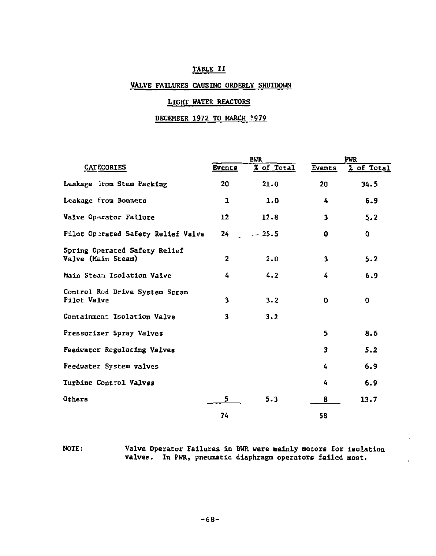# **TABLE II**

# **VALVE FAILURES CAUSING ORDERLY SHUTDOWN**

# **LIGHT WATER REACTORS**

# **DECEMBER 1972 TO MARCH 1979**

|                                                     |        | BWR.       |          | <b>PWR</b> |  |  |
|-----------------------------------------------------|--------|------------|----------|------------|--|--|
| <b>CATECORIES</b>                                   | Events | % of Total | Events   | 2 of Total |  |  |
| Leakage iron Stem Packing                           | 20     | 21.0       | 20       | 34.5       |  |  |
| Leakage from Bonnets                                | 1      | 1.0        | 4        | 6.9        |  |  |
| Valve Operator Failure                              | 12     | 12.8       | 3        | 5,2        |  |  |
| Pilot Operated Safety Relief Valve                  | 24     | $-25.5$    | o        | o          |  |  |
| Spring Operated Safety Relief<br>Valve (Main Steam) | 2      | 2.0        | 3        | 5.2        |  |  |
| Main Stean Isolation Valve                          | 4      | 4.2        | 4        | 6.9        |  |  |
| Control Rod Drive System Scram<br>Pilot Valve       | 3      | 3.2        | $\Omega$ | $\Omega$   |  |  |
| Containment Isolation Valve                         | 3      | 3.2        |          |            |  |  |
| Pressurizer Spray Valves                            |        |            | 5        | 8.6        |  |  |
| Feedwater Regulating Valves                         |        |            | 3        | 5.2        |  |  |
| Feedwater System valves                             |        |            | 4        | 6.9        |  |  |
| Turbine Control Valves                              |        |            | 4        | 6.9        |  |  |
| Others                                              | 5.     | 5.3        | 8        | 13.7       |  |  |
|                                                     | 74     |            | 58       |            |  |  |

NOTE: **Valve Operator Failures In BUR were mainly motors for isolation valves. In PWR, pneumatic diaphragm operators failed most.**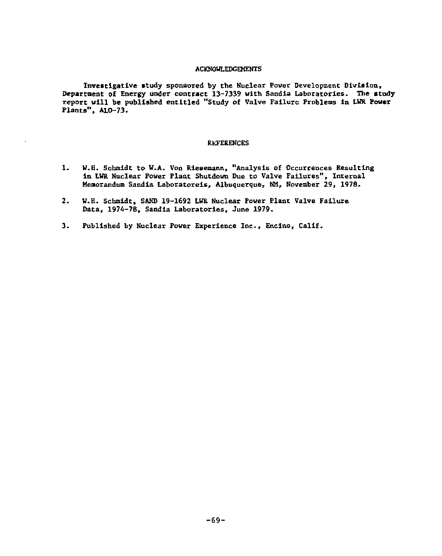### ACKNOWLEDGEMENTS

Investigative study sponsored by the Nuclear Power Development Division, Department of Energy under contract 13-7339 with Sandia Laboratories. The **study**  report will be published entitled "Study of Valve Failure Problems in LWR **Power**  Plants", ALO-73.

### REFERENCES

- 1. W.H. Schmidt to W.A. Von Riesemann, "Analysis of Occurrences Resulting in LWR Nuclear Power Plant Shutdown Due to Valve Failures", Internal Memorandum Sandia Laboracoreis, Albuquerque, NM, November 29, 1978.
- 2. W.H. Schmidt, SAND 19-1692 LWR Nuclear Power Plant Valve Failure Data, 1974-78, Sandia Laboratories, June 1979.
- 3. Published by Nuclear Power Experience Inc., Encino, Calif.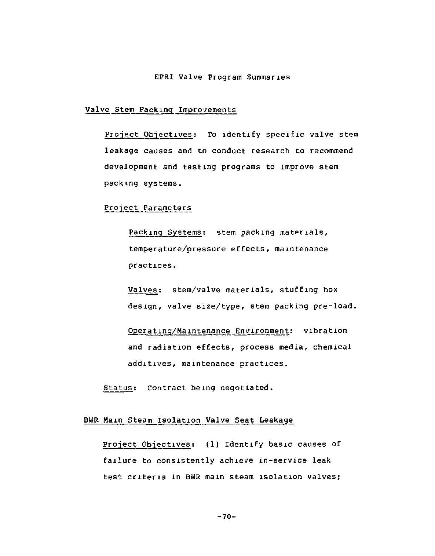### EPRI Valve Program Summaries

# Valve Stem Packing Improvements

Project Objectives: To identify specific valve stem leakage causes and to conduct research to recommend development and testing programs to improve stem packing systems.

# Project Parameters

Packing Systems: stem packing materials, temperature/pressure effects, maintenance practices.

Valves: stem/valve materials, stuffing box design, valve size/type, stem packing pre-load.

Operating/Maintenance Environment: vibration and radiation effects, process media, chemical additives, maintenance practices.

Status: Contract being negotiated.

# BWR Main Steam Isolation Valve Seat Leakage

Project Objectives: (1) Identify basic causes of failure to consistently achieve in-service leak test criteria in BWR main steam isolation valves;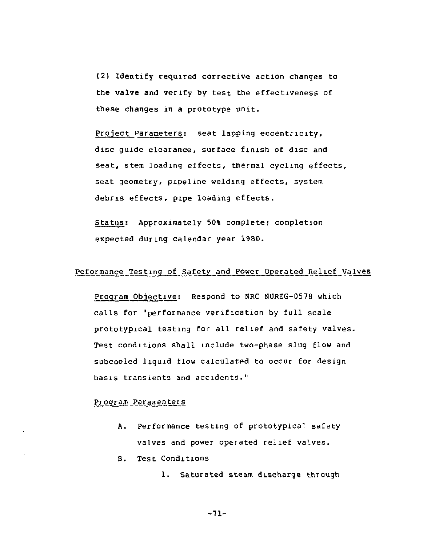(2J Identify required corrective action changes to the valve and verify by test the effectiveness of these changes in a prototype unit.

Project Parameters: seat lapping eccentricity, disc quide clearance, surface finish of disc and seat, stem loading effects, thermal cycling effects, seat geometry, pipeline welding effects, system debris effects, pipe loading effects.

Status: Approximately 50% complete; completion expected during calendar year 1980.

# Peformance Testing of Safety and Power Operated Relief Valves

Program Objective: Respond to NRC NUREG-0578 which calls for "performance verification by full scale prototypical testing for all relief and safety valves. Test conditions shall include two-phase slug Elow and subcooled liquid flow calculated to occur for design basis transients and accidents."

# Program Paramenters

- A. Performance testing of prototypical safety valves and power operated relief valves.
- B. Test Conditions
	- 1. Saturated steam discharge through

 $-71 -$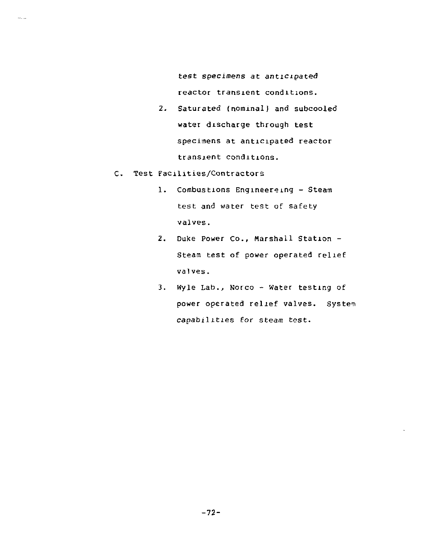test specimens at anticipated reactor transient conditions.

- 2. Saturated (nominal) and subcooled water discharge through test specimens at anticipated reactor transient conditions.
- C. Test Facilities/Contractors
	- 1. Combustions Engineereing Steam test and water test of safety valves.
	- 2. Duke Power Co., Marshall Station Steam test of power operated relief valves.
	- 3. Wyle Lab., Norco Water testing of power operated relief valves. System capabilities for steam test.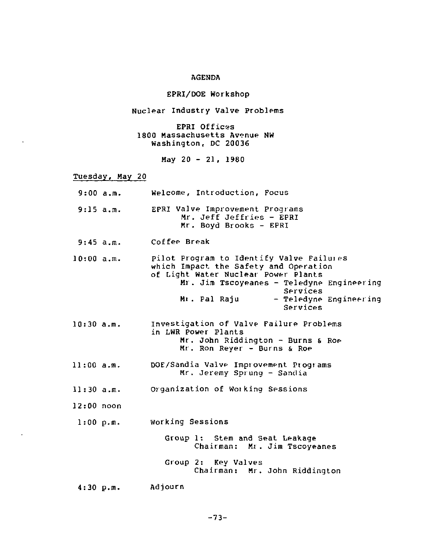# AGENDA

EPRI/DOE Workshop

Nuclear Industry Valve Problems

EPRI Offices 1800 Massachusetts Avenue NW Washington, DC 20036

Hay 20-21 , 1980

Tuesday, May 20

 $\overline{\phantom{a}}$ 

à.

|              | 9:00a.m.  | Welcome, Introduction, Focus                                                                                                                                                                                                            |
|--------------|-----------|-----------------------------------------------------------------------------------------------------------------------------------------------------------------------------------------------------------------------------------------|
|              | 9:15 a.m. | EPRI Valve Improvement Programs<br>Mr. Jeff Jeffries - EPRI<br>Mr. Boyd Brooks - EPRI                                                                                                                                                   |
| 9:45a.m.     |           | Coffee Break                                                                                                                                                                                                                            |
| 10:00 a.m.   |           | Pilot Program to Identify Valve Failures<br>which Impact the Safety and Operation<br>of Light Water Nuclear Power Plants<br>Mr. Jim Tscoyeanes - Teledyne Engineering<br>Services<br>- Teledyne Engineering<br>Mr. Pal Raju<br>Services |
| 10:30a.m.    |           | Investigation of Valve Failure Problems<br>in LWR Power Plants<br>Mr. John Riddington - Burns & Roe<br>Mr. Ron Reyer - Burns & Roe                                                                                                      |
| $11:00$ a.m. |           | DOE/Sandia Valve Improvement Programs<br>Mr. Jeremy Sprung - Sandia                                                                                                                                                                     |
| 11:30a.m.    |           | Organization of Working Sessions                                                                                                                                                                                                        |
| $12:00$ noon |           |                                                                                                                                                                                                                                         |
| $1:00$ p.m.  |           | Working Sessions                                                                                                                                                                                                                        |
|              |           | Group 1: Stem and Seat Leakage<br>Chairman: Mr. Jim Tscoyeanes                                                                                                                                                                          |
|              |           | Group 2: Key Valves<br>Chairman: Mr. John Riddington                                                                                                                                                                                    |
| 4:30 p.m.    |           | Adjourn                                                                                                                                                                                                                                 |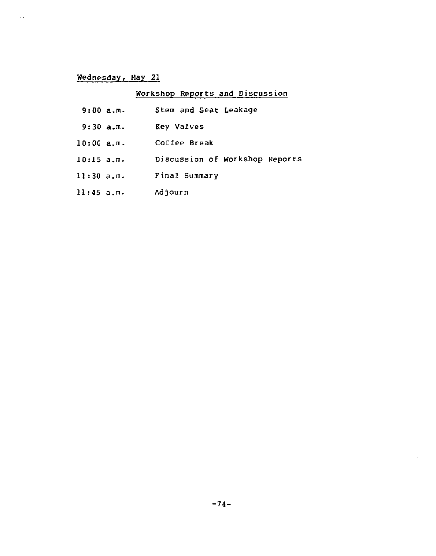# Wednesday, Hay 21

# Workshop Reports and Discussion

| 9:00a.m.     | Stem and Seat Leakage          |
|--------------|--------------------------------|
| 9:30a.m.     | Key Valves                     |
| 10:00a.m.    | Coffee Break                   |
| $10:15$ a.m. | Discussion of Workshop Reports |
| 11:30a.m.    | Final Summary                  |
| $11:45$ a.m. | Adjourn                        |